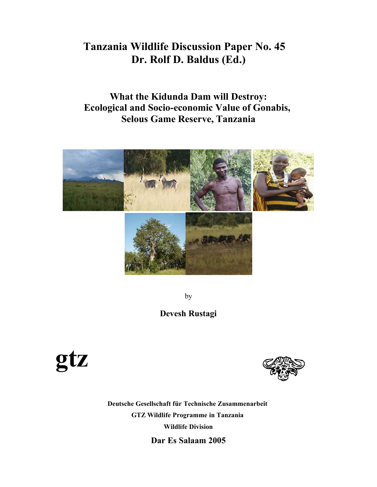# **Tanzania Wildlife Discussion Paper No. 45 Dr. Rolf D. Baldus (Ed.)**

**What the Kidunda Dam will Destroy: Ecological and Socio-economic Value of Gonabis, Selous Game Reserve, Tanzania**



by

# **Devesh Rustagi**





**Deutsche Gesellschaft für Technische Zusammenarbeit GTZ Wildlife Programme in Tanzania Wildlife Division Dar Es Salaam 2005**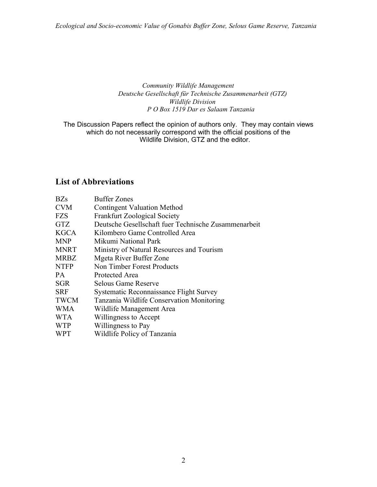## *Community Wildlife Management Deutsche Gesellschaft für Technische Zusammenarbeit (GTZ) Wildlife Division P O Box 1519 Dar es Salaam Tanzania*

The Discussion Papers reflect the opinion of authors only. They may contain views which do not necessarily correspond with the official positions of the Wildlife Division, GTZ and the editor.

# **List of Abbreviations**

| <b>BZs</b>  | <b>Buffer Zones</b>                                  |
|-------------|------------------------------------------------------|
| <b>CVM</b>  | <b>Contingent Valuation Method</b>                   |
| <b>FZS</b>  | <b>Frankfurt Zoological Society</b>                  |
| <b>GTZ</b>  | Deutsche Gesellschaft fuer Technische Zusammenarbeit |
| <b>KGCA</b> | Kilombero Game Controlled Area                       |
| <b>MNP</b>  | Mikumi National Park                                 |
| <b>MNRT</b> | Ministry of Natural Resources and Tourism            |
| <b>MRBZ</b> | Mgeta River Buffer Zone                              |
| <b>NTFP</b> | Non Timber Forest Products                           |
| <b>PA</b>   | Protected Area                                       |
| <b>SGR</b>  | Selous Game Reserve                                  |
| <b>SRF</b>  | Systematic Reconnaissance Flight Survey              |
| <b>TWCM</b> | Tanzania Wildlife Conservation Monitoring            |
| <b>WMA</b>  | Wildlife Management Area                             |
| <b>WTA</b>  | Willingness to Accept                                |
| <b>WTP</b>  | Willingness to Pay                                   |
| <b>WPT</b>  | Wildlife Policy of Tanzania                          |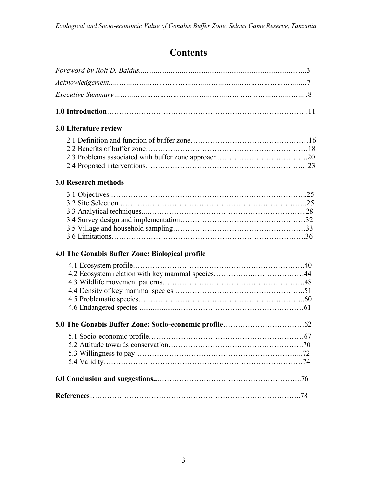# **Contents**

| <b>2.0 Literature review</b>                    |  |
|-------------------------------------------------|--|
|                                                 |  |
|                                                 |  |
|                                                 |  |
|                                                 |  |
| <b>3.0 Research methods</b>                     |  |
|                                                 |  |
|                                                 |  |
|                                                 |  |
|                                                 |  |
|                                                 |  |
|                                                 |  |
| 4.0 The Gonabis Buffer Zone: Biological profile |  |
|                                                 |  |
|                                                 |  |
|                                                 |  |
|                                                 |  |
|                                                 |  |
|                                                 |  |
|                                                 |  |
|                                                 |  |
|                                                 |  |
|                                                 |  |
|                                                 |  |
|                                                 |  |
|                                                 |  |
|                                                 |  |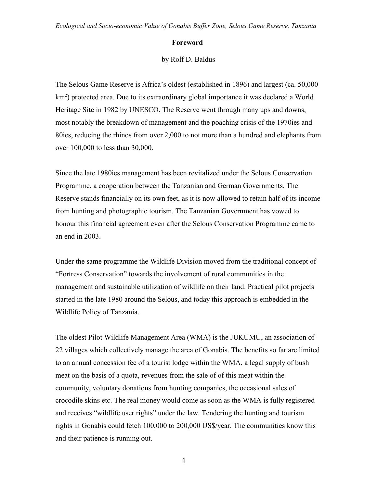#### **Foreword**

by Rolf D. Baldus

The Selous Game Reserve is Africa's oldest (established in 1896) and largest (ca. 50,000 km<sup>2</sup>) protected area. Due to its extraordinary global importance it was declared a World Heritage Site in 1982 by UNESCO. The Reserve went through many ups and downs, most notably the breakdown of management and the poaching crisis of the 1970ies and 80ies, reducing the rhinos from over 2,000 to not more than a hundred and elephants from over 100,000 to less than 30,000.

Since the late 1980ies management has been revitalized under the Selous Conservation Programme, a cooperation between the Tanzanian and German Governments. The Reserve stands financially on its own feet, as it is now allowed to retain half of its income from hunting and photographic tourism. The Tanzanian Government has vowed to honour this financial agreement even after the Selous Conservation Programme came to an end in 2003.

Under the same programme the Wildlife Division moved from the traditional concept of "Fortress Conservation" towards the involvement of rural communities in the management and sustainable utilization of wildlife on their land. Practical pilot projects started in the late 1980 around the Selous, and today this approach is embedded in the Wildlife Policy of Tanzania.

The oldest Pilot Wildlife Management Area (WMA) is the JUKUMU, an association of 22 villages which collectively manage the area of Gonabis. The benefits so far are limited to an annual concession fee of a tourist lodge within the WMA, a legal supply of bush meat on the basis of a quota, revenues from the sale of of this meat within the community, voluntary donations from hunting companies, the occasional sales of crocodile skins etc. The real money would come as soon as the WMA is fully registered and receives "wildlife user rights" under the law. Tendering the hunting and tourism rights in Gonabis could fetch 100,000 to 200,000 US\$/year. The communities know this and their patience is running out.

4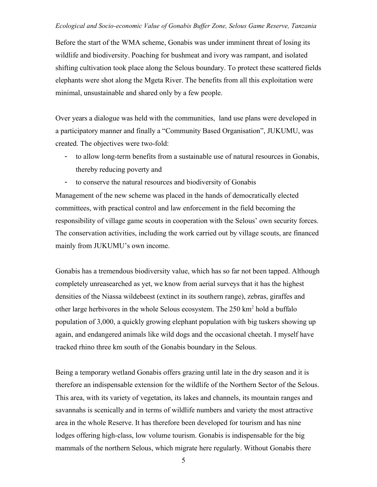Before the start of the WMA scheme, Gonabis was under imminent threat of losing its wildlife and biodiversity. Poaching for bushmeat and ivory was rampant, and isolated shifting cultivation took place along the Selous boundary. To protect these scattered fields elephants were shot along the Mgeta River. The benefits from all this exploitation were minimal, unsustainable and shared only by a few people.

Over years a dialogue was held with the communities, land use plans were developed in a participatory manner and finally a "Community Based Organisation", JUKUMU, was created. The objectives were two-fold:

- to allow long-term benefits from a sustainable use of natural resources in Gonabis, thereby reducing poverty and
- to conserve the natural resources and biodiversity of Gonabis

Management of the new scheme was placed in the hands of democratically elected committees, with practical control and law enforcement in the field becoming the responsibility of village game scouts in cooperation with the Selous' own security forces. The conservation activities, including the work carried out by village scouts, are financed mainly from JUKUMU's own income.

Gonabis has a tremendous biodiversity value, which has so far not been tapped. Although completely unreasearched as yet, we know from aerial surveys that it has the highest densities of the Niassa wildebeest (extinct in its southern range), zebras, giraffes and other large herbivores in the whole Selous ecosystem. The 250 km<sup>2</sup> hold a buffalo population of 3,000, a quickly growing elephant population with big tuskers showing up again, and endangered animals like wild dogs and the occasional cheetah. I myself have tracked rhino three km south of the Gonabis boundary in the Selous.

Being a temporary wetland Gonabis offers grazing until late in the dry season and it is therefore an indispensable extension for the wildlife of the Northern Sector of the Selous. This area, with its variety of vegetation, its lakes and channels, its mountain ranges and savannahs is scenically and in terms of wildlife numbers and variety the most attractive area in the whole Reserve. It has therefore been developed for tourism and has nine lodges offering high-class, low volume tourism. Gonabis is indispensable for the big mammals of the northern Selous, which migrate here regularly. Without Gonabis there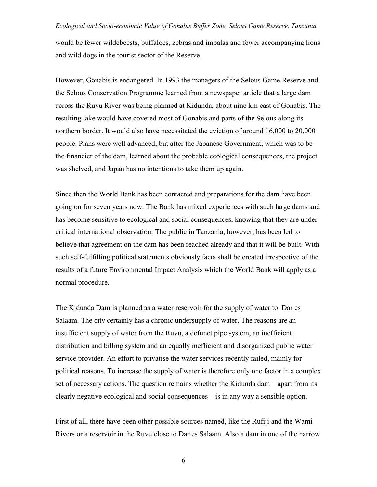would be fewer wildebeests, buffaloes, zebras and impalas and fewer accompanying lions and wild dogs in the tourist sector of the Reserve.

However, Gonabis is endangered. In 1993 the managers of the Selous Game Reserve and the Selous Conservation Programme learned from a newspaper article that a large dam across the Ruvu River was being planned at Kidunda, about nine km east of Gonabis. The resulting lake would have covered most of Gonabis and parts of the Selous along its northern border. It would also have necessitated the eviction of around 16,000 to 20,000 people. Plans were well advanced, but after the Japanese Government, which was to be the financier of the dam, learned about the probable ecological consequences, the project was shelved, and Japan has no intentions to take them up again.

Since then the World Bank has been contacted and preparations for the dam have been going on for seven years now. The Bank has mixed experiences with such large dams and has become sensitive to ecological and social consequences, knowing that they are under critical international observation. The public in Tanzania, however, has been led to believe that agreement on the dam has been reached already and that it will be built. With such self-fulfilling political statements obviously facts shall be created irrespective of the results of a future Environmental Impact Analysis which the World Bank will apply as a normal procedure.

The Kidunda Dam is planned as a water reservoir for the supply of water to Dar es Salaam. The city certainly has a chronic undersupply of water. The reasons are an insufficient supply of water from the Ruvu, a defunct pipe system, an inefficient distribution and billing system and an equally inefficient and disorganized public water service provider. An effort to privatise the water services recently failed, mainly for political reasons. To increase the supply of water is therefore only one factor in a complex set of necessary actions. The question remains whether the Kidunda dam – apart from its clearly negative ecological and social consequences – is in any way a sensible option.

First of all, there have been other possible sources named, like the Rufiji and the Wami Rivers or a reservoir in the Ruvu close to Dar es Salaam. Also a dam in one of the narrow

6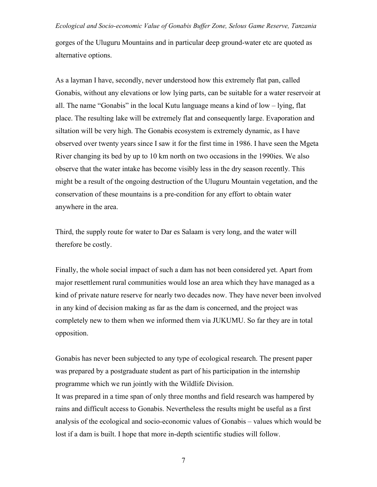gorges of the Uluguru Mountains and in particular deep ground-water etc are quoted as alternative options.

As a layman I have, secondly, never understood how this extremely flat pan, called Gonabis, without any elevations or low lying parts, can be suitable for a water reservoir at all. The name "Gonabis" in the local Kutu language means a kind of low – lying, flat place. The resulting lake will be extremely flat and consequently large. Evaporation and siltation will be very high. The Gonabis ecosystem is extremely dynamic, as I have observed over twenty years since I saw it for the first time in 1986. I have seen the Mgeta River changing its bed by up to 10 km north on two occasions in the 1990ies. We also observe that the water intake has become visibly less in the dry season recently. This might be a result of the ongoing destruction of the Uluguru Mountain vegetation, and the conservation of these mountains is a pre-condition for any effort to obtain water anywhere in the area.

Third, the supply route for water to Dar es Salaam is very long, and the water will therefore be costly.

Finally, the whole social impact of such a dam has not been considered yet. Apart from major resettlement rural communities would lose an area which they have managed as a kind of private nature reserve for nearly two decades now. They have never been involved in any kind of decision making as far as the dam is concerned, and the project was completely new to them when we informed them via JUKUMU. So far they are in total opposition.

Gonabis has never been subjected to any type of ecological research. The present paper was prepared by a postgraduate student as part of his participation in the internship programme which we run jointly with the Wildlife Division.

It was prepared in a time span of only three months and field research was hampered by rains and difficult access to Gonabis. Nevertheless the results might be useful as a first analysis of the ecological and socio-economic values of Gonabis – values which would be lost if a dam is built. I hope that more in-depth scientific studies will follow.

7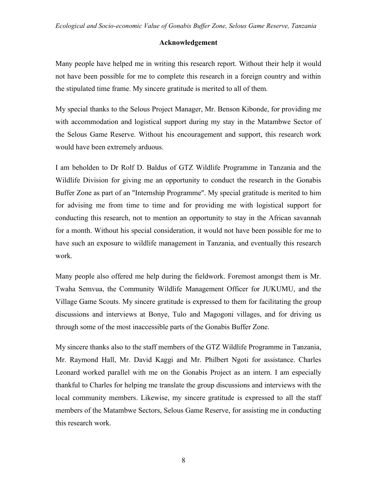## **Acknowledgement**

Many people have helped me in writing this research report. Without their help it would not have been possible for me to complete this research in a foreign country and within the stipulated time frame. My sincere gratitude is merited to all of them.

My special thanks to the Selous Project Manager, Mr. Benson Kibonde, for providing me with accommodation and logistical support during my stay in the Matambwe Sector of the Selous Game Reserve. Without his encouragement and support, this research work would have been extremely arduous.

I am beholden to Dr Rolf D. Baldus of GTZ Wildlife Programme in Tanzania and the Wildlife Division for giving me an opportunity to conduct the research in the Gonabis Buffer Zone as part of an "Internship Programme". My special gratitude is merited to him for advising me from time to time and for providing me with logistical support for conducting this research, not to mention an opportunity to stay in the African savannah for a month. Without his special consideration, it would not have been possible for me to have such an exposure to wildlife management in Tanzania, and eventually this research work.

Many people also offered me help during the fieldwork. Foremost amongst them is Mr. Twaha Semvua, the Community Wildlife Management Officer for JUKUMU, and the Village Game Scouts. My sincere gratitude is expressed to them for facilitating the group discussions and interviews at Bonye, Tulo and Magogoni villages, and for driving us through some of the most inaccessible parts of the Gonabis Buffer Zone.

My sincere thanks also to the staff members of the GTZ Wildlife Programme in Tanzania, Mr. Raymond Hall, Mr. David Kaggi and Mr. Philbert Ngoti for assistance. Charles Leonard worked parallel with me on the Gonabis Project as an intern. I am especially thankful to Charles for helping me translate the group discussions and interviews with the local community members. Likewise, my sincere gratitude is expressed to all the staff members of the Matambwe Sectors, Selous Game Reserve, for assisting me in conducting this research work.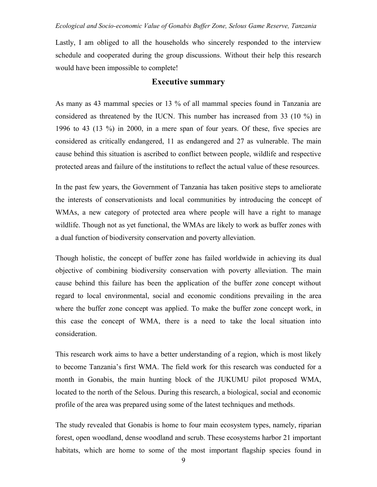Lastly, I am obliged to all the households who sincerely responded to the interview schedule and cooperated during the group discussions. Without their help this research would have been impossible to complete!

## **Executive summary**

As many as 43 mammal species or 13 % of all mammal species found in Tanzania are considered as threatened by the IUCN. This number has increased from 33 (10 %) in 1996 to 43 (13 %) in 2000, in a mere span of four years. Of these, five species are considered as critically endangered, 11 as endangered and 27 as vulnerable. The main cause behind this situation is ascribed to conflict between people, wildlife and respective protected areas and failure of the institutions to reflect the actual value of these resources.

In the past few years, the Government of Tanzania has taken positive steps to ameliorate the interests of conservationists and local communities by introducing the concept of WMAs, a new category of protected area where people will have a right to manage wildlife. Though not as yet functional, the WMAs are likely to work as buffer zones with a dual function of biodiversity conservation and poverty alleviation.

Though holistic, the concept of buffer zone has failed worldwide in achieving its dual objective of combining biodiversity conservation with poverty alleviation. The main cause behind this failure has been the application of the buffer zone concept without regard to local environmental, social and economic conditions prevailing in the area where the buffer zone concept was applied. To make the buffer zone concept work, in this case the concept of WMA, there is a need to take the local situation into consideration.

This research work aims to have a better understanding of a region, which is most likely to become Tanzania's first WMA. The field work for this research was conducted for a month in Gonabis, the main hunting block of the JUKUMU pilot proposed WMA, located to the north of the Selous. During this research, a biological, social and economic profile of the area was prepared using some of the latest techniques and methods.

The study revealed that Gonabis is home to four main ecosystem types, namely, riparian forest, open woodland, dense woodland and scrub. These ecosystems harbor 21 important habitats, which are home to some of the most important flagship species found in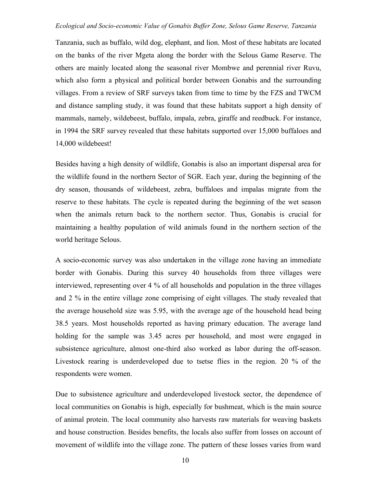Tanzania, such as buffalo, wild dog, elephant, and lion. Most of these habitats are located on the banks of the river Mgeta along the border with the Selous Game Reserve. The others are mainly located along the seasonal river Mombwe and perennial river Ruvu, which also form a physical and political border between Gonabis and the surrounding villages. From a review of SRF surveys taken from time to time by the FZS and TWCM and distance sampling study, it was found that these habitats support a high density of mammals, namely, wildebeest, buffalo, impala, zebra, giraffe and reedbuck. For instance, in 1994 the SRF survey revealed that these habitats supported over 15,000 buffaloes and 14,000 wildebeest!

Besides having a high density of wildlife, Gonabis is also an important dispersal area for the wildlife found in the northern Sector of SGR. Each year, during the beginning of the dry season, thousands of wildebeest, zebra, buffaloes and impalas migrate from the reserve to these habitats. The cycle is repeated during the beginning of the wet season when the animals return back to the northern sector. Thus, Gonabis is crucial for maintaining a healthy population of wild animals found in the northern section of the world heritage Selous.

A socio-economic survey was also undertaken in the village zone having an immediate border with Gonabis. During this survey 40 households from three villages were interviewed, representing over 4 % of all households and population in the three villages and 2 % in the entire village zone comprising of eight villages. The study revealed that the average household size was 5.95, with the average age of the household head being 38.5 years. Most households reported as having primary education. The average land holding for the sample was 3.45 acres per household, and most were engaged in subsistence agriculture, almost one-third also worked as labor during the off-season. Livestock rearing is underdeveloped due to tsetse flies in the region. 20 % of the respondents were women.

Due to subsistence agriculture and underdeveloped livestock sector, the dependence of local communities on Gonabis is high, especially for bushmeat, which is the main source of animal protein. The local community also harvests raw materials for weaving baskets and house construction. Besides benefits, the locals also suffer from losses on account of movement of wildlife into the village zone. The pattern of these losses varies from ward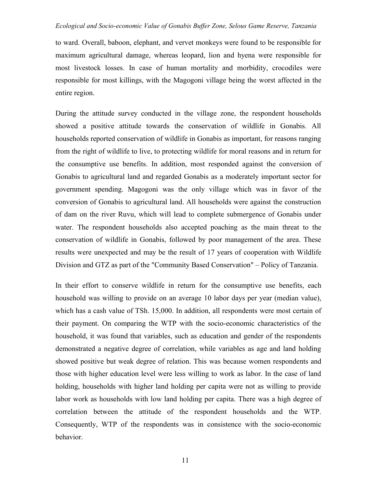to ward. Overall, baboon, elephant, and vervet monkeys were found to be responsible for maximum agricultural damage, whereas leopard, lion and hyena were responsible for most livestock losses. In case of human mortality and morbidity, crocodiles were responsible for most killings, with the Magogoni village being the worst affected in the entire region.

During the attitude survey conducted in the village zone, the respondent households showed a positive attitude towards the conservation of wildlife in Gonabis. All households reported conservation of wildlife in Gonabis as important, for reasons ranging from the right of wildlife to live, to protecting wildlife for moral reasons and in return for the consumptive use benefits. In addition, most responded against the conversion of Gonabis to agricultural land and regarded Gonabis as a moderately important sector for government spending. Magogoni was the only village which was in favor of the conversion of Gonabis to agricultural land. All households were against the construction of dam on the river Ruvu, which will lead to complete submergence of Gonabis under water. The respondent households also accepted poaching as the main threat to the conservation of wildlife in Gonabis, followed by poor management of the area. These results were unexpected and may be the result of 17 years of cooperation with Wildlife Division and GTZ as part of the "Community Based Conservation" – Policy of Tanzania.

In their effort to conserve wildlife in return for the consumptive use benefits, each household was willing to provide on an average 10 labor days per year (median value), which has a cash value of TSh. 15,000. In addition, all respondents were most certain of their payment. On comparing the WTP with the socio-economic characteristics of the household, it was found that variables, such as education and gender of the respondents demonstrated a negative degree of correlation, while variables as age and land holding showed positive but weak degree of relation. This was because women respondents and those with higher education level were less willing to work as labor. In the case of land holding, households with higher land holding per capita were not as willing to provide labor work as households with low land holding per capita. There was a high degree of correlation between the attitude of the respondent households and the WTP. Consequently, WTP of the respondents was in consistence with the socio-economic behavior.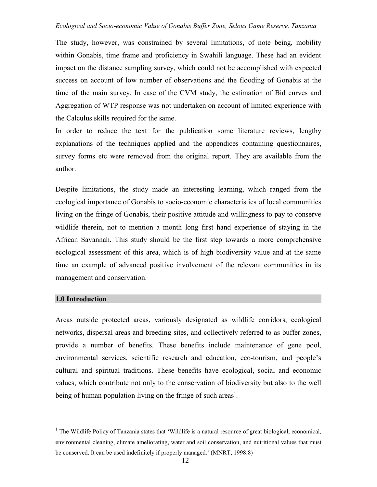The study, however, was constrained by several limitations, of note being, mobility within Gonabis, time frame and proficiency in Swahili language. These had an evident impact on the distance sampling survey, which could not be accomplished with expected success on account of low number of observations and the flooding of Gonabis at the time of the main survey. In case of the CVM study, the estimation of Bid curves and Aggregation of WTP response was not undertaken on account of limited experience with the Calculus skills required for the same.

In order to reduce the text for the publication some literature reviews, lengthy explanations of the techniques applied and the appendices containing questionnaires, survey forms etc were removed from the original report. They are available from the author.

Despite limitations, the study made an interesting learning, which ranged from the ecological importance of Gonabis to socio-economic characteristics of local communities living on the fringe of Gonabis, their positive attitude and willingness to pay to conserve wildlife therein, not to mention a month long first hand experience of staying in the African Savannah. This study should be the first step towards a more comprehensive ecological assessment of this area, which is of high biodiversity value and at the same time an example of advanced positive involvement of the relevant communities in its management and conservation.

#### **1.0 Introduction**

Areas outside protected areas, variously designated as wildlife corridors, ecological networks, dispersal areas and breeding sites, and collectively referred to as buffer zones, provide a number of benefits. These benefits include maintenance of gene pool, environmental services, scientific research and education, eco-tourism, and people's cultural and spiritual traditions. These benefits have ecological, social and economic values, which contribute not only to the conservation of biodiversity but also to the well being of human population living on the fringe of such areas<sup>1</sup>.

<sup>&</sup>lt;sup>1</sup> The Wildlife Policy of Tanzania states that 'Wildlife is a natural resource of great biological, economical, environmental cleaning, climate ameliorating, water and soil conservation, and nutritional values that must be conserved. It can be used indefinitely if properly managed.' (MNRT, 1998:8)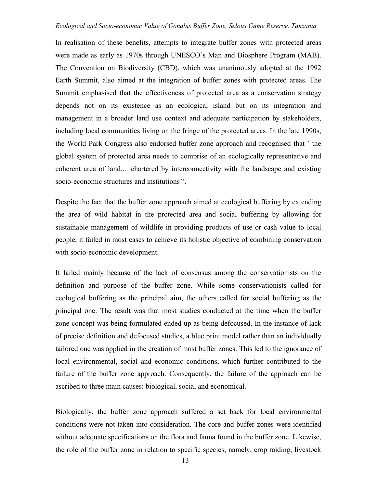In realisation of these benefits, attempts to integrate buffer zones with protected areas were made as early as 1970s through UNESCO's Man and Biosphere Program (MAB). The Convention on Biodiversity (CBD), which was unanimously adopted at the 1992 Earth Summit, also aimed at the integration of buffer zones with protected areas. The Summit emphasised that the effectiveness of protected area as a conservation strategy depends not on its existence as an ecological island but on its integration and management in a broader land use context and adequate participation by stakeholders, including local communities living on the fringe of the protected areas. In the late 1990s, the World Park Congress also endorsed buffer zone approach and recognised that ``the global system of protected area needs to comprise of an ecologically representative and coherent area of land.... chartered by interconnectivity with the landscape and existing socio-economic structures and institutions''.

Despite the fact that the buffer zone approach aimed at ecological buffering by extending the area of wild habitat in the protected area and social buffering by allowing for sustainable management of wildlife in providing products of use or cash value to local people, it failed in most cases to achieve its holistic objective of combining conservation with socio-economic development.

It failed mainly because of the lack of consensus among the conservationists on the definition and purpose of the buffer zone. While some conservationists called for ecological buffering as the principal aim, the others called for social buffering as the principal one. The result was that most studies conducted at the time when the buffer zone concept was being formulated ended up as being defocused. In the instance of lack of precise definition and defocused studies, a blue print model rather than an individually tailored one was applied in the creation of most buffer zones. This led to the ignorance of local environmental, social and economic conditions, which further contributed to the failure of the buffer zone approach. Consequently, the failure of the approach can be ascribed to three main causes: biological, social and economical.

Biologically, the buffer zone approach suffered a set back for local environmental conditions were not taken into consideration. The core and buffer zones were identified without adequate specifications on the flora and fauna found in the buffer zone. Likewise, the role of the buffer zone in relation to specific species, namely, crop raiding, livestock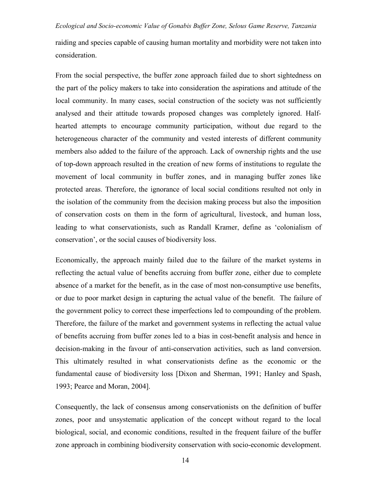raiding and species capable of causing human mortality and morbidity were not taken into consideration.

From the social perspective, the buffer zone approach failed due to short sightedness on the part of the policy makers to take into consideration the aspirations and attitude of the local community. In many cases, social construction of the society was not sufficiently analysed and their attitude towards proposed changes was completely ignored. Halfhearted attempts to encourage community participation, without due regard to the heterogeneous character of the community and vested interests of different community members also added to the failure of the approach. Lack of ownership rights and the use of top-down approach resulted in the creation of new forms of institutions to regulate the movement of local community in buffer zones, and in managing buffer zones like protected areas. Therefore, the ignorance of local social conditions resulted not only in the isolation of the community from the decision making process but also the imposition of conservation costs on them in the form of agricultural, livestock, and human loss, leading to what conservationists, such as Randall Kramer, define as 'colonialism of conservation', or the social causes of biodiversity loss.

Economically, the approach mainly failed due to the failure of the market systems in reflecting the actual value of benefits accruing from buffer zone, either due to complete absence of a market for the benefit, as in the case of most non-consumptive use benefits, or due to poor market design in capturing the actual value of the benefit. The failure of the government policy to correct these imperfections led to compounding of the problem. Therefore, the failure of the market and government systems in reflecting the actual value of benefits accruing from buffer zones led to a bias in cost-benefit analysis and hence in decision-making in the favour of anti-conservation activities, such as land conversion. This ultimately resulted in what conservationists define as the economic or the fundamental cause of biodiversity loss [Dixon and Sherman, 1991; Hanley and Spash, 1993; Pearce and Moran, 2004].

Consequently, the lack of consensus among conservationists on the definition of buffer zones, poor and unsystematic application of the concept without regard to the local biological, social, and economic conditions, resulted in the frequent failure of the buffer zone approach in combining biodiversity conservation with socio-economic development.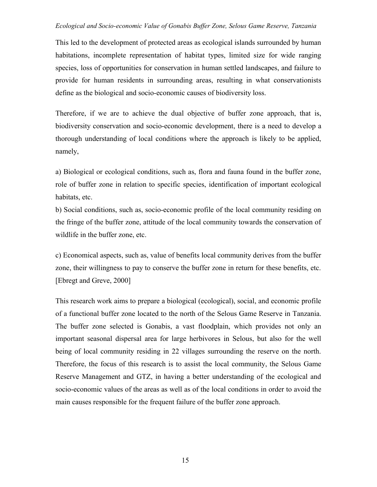This led to the development of protected areas as ecological islands surrounded by human habitations, incomplete representation of habitat types, limited size for wide ranging species, loss of opportunities for conservation in human settled landscapes, and failure to provide for human residents in surrounding areas, resulting in what conservationists define as the biological and socio-economic causes of biodiversity loss.

Therefore, if we are to achieve the dual objective of buffer zone approach, that is, biodiversity conservation and socio-economic development, there is a need to develop a thorough understanding of local conditions where the approach is likely to be applied, namely,

a) Biological or ecological conditions, such as, flora and fauna found in the buffer zone, role of buffer zone in relation to specific species, identification of important ecological habitats, etc.

b) Social conditions, such as, socio-economic profile of the local community residing on the fringe of the buffer zone, attitude of the local community towards the conservation of wildlife in the buffer zone, etc.

c) Economical aspects, such as, value of benefits local community derives from the buffer zone, their willingness to pay to conserve the buffer zone in return for these benefits, etc. [Ebregt and Greve, 2000]

This research work aims to prepare a biological (ecological), social, and economic profile of a functional buffer zone located to the north of the Selous Game Reserve in Tanzania. The buffer zone selected is Gonabis, a vast floodplain, which provides not only an important seasonal dispersal area for large herbivores in Selous, but also for the well being of local community residing in 22 villages surrounding the reserve on the north. Therefore, the focus of this research is to assist the local community, the Selous Game Reserve Management and GTZ, in having a better understanding of the ecological and socio-economic values of the areas as well as of the local conditions in order to avoid the main causes responsible for the frequent failure of the buffer zone approach.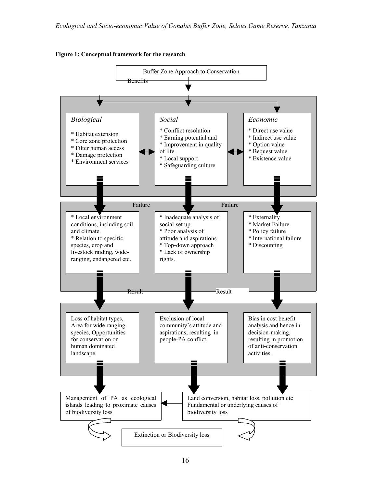

**Figure 1: Conceptual framework for the research**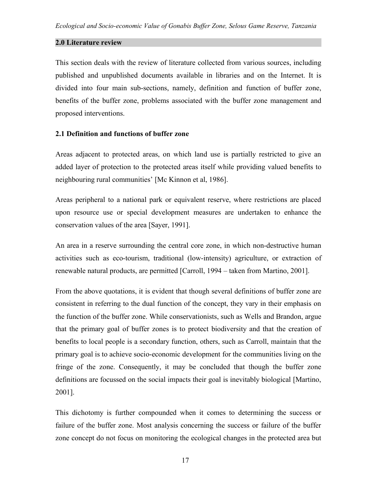## **2.0 Literature review**

This section deals with the review of literature collected from various sources, including published and unpublished documents available in libraries and on the Internet. It is divided into four main sub-sections, namely, definition and function of buffer zone, benefits of the buffer zone, problems associated with the buffer zone management and proposed interventions.

## **2.1 Definition and functions of buffer zone**

Areas adjacent to protected areas, on which land use is partially restricted to give an added layer of protection to the protected areas itself while providing valued benefits to neighbouring rural communities' [Mc Kinnon et al, 1986].

Areas peripheral to a national park or equivalent reserve, where restrictions are placed upon resource use or special development measures are undertaken to enhance the conservation values of the area [Sayer, 1991].

An area in a reserve surrounding the central core zone, in which non-destructive human activities such as eco-tourism, traditional (low-intensity) agriculture, or extraction of renewable natural products, are permitted [Carroll, 1994 – taken from Martino, 2001].

From the above quotations, it is evident that though several definitions of buffer zone are consistent in referring to the dual function of the concept, they vary in their emphasis on the function of the buffer zone. While conservationists, such as Wells and Brandon, argue that the primary goal of buffer zones is to protect biodiversity and that the creation of benefits to local people is a secondary function, others, such as Carroll, maintain that the primary goal is to achieve socio-economic development for the communities living on the fringe of the zone. Consequently, it may be concluded that though the buffer zone definitions are focussed on the social impacts their goal is inevitably biological [Martino, 2001].

This dichotomy is further compounded when it comes to determining the success or failure of the buffer zone. Most analysis concerning the success or failure of the buffer zone concept do not focus on monitoring the ecological changes in the protected area but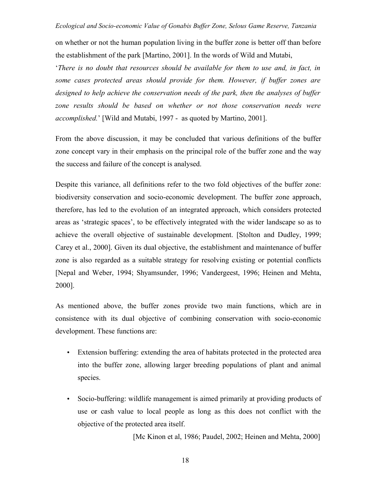on whether or not the human population living in the buffer zone is better off than before the establishment of the park [Martino, 2001]. In the words of Wild and Mutabi,

'*There is no doubt that resources should be available for them to use and, in fact, in some cases protected areas should provide for them. However, if buffer zones are designed to help achieve the conservation needs of the park, then the analyses of buffer zone results should be based on whether or not those conservation needs were accomplished.*' [Wild and Mutabi, 1997 - as quoted by Martino, 2001].

From the above discussion, it may be concluded that various definitions of the buffer zone concept vary in their emphasis on the principal role of the buffer zone and the way the success and failure of the concept is analysed.

Despite this variance, all definitions refer to the two fold objectives of the buffer zone: biodiversity conservation and socio-economic development. The buffer zone approach, therefore, has led to the evolution of an integrated approach, which considers protected areas as 'strategic spaces', to be effectively integrated with the wider landscape so as to achieve the overall objective of sustainable development. [Stolton and Dudley, 1999; Carey et al., 2000]. Given its dual objective, the establishment and maintenance of buffer zone is also regarded as a suitable strategy for resolving existing or potential conflicts [Nepal and Weber, 1994; Shyamsunder, 1996; Vandergeest, 1996; Heinen and Mehta, 2000].

As mentioned above, the buffer zones provide two main functions, which are in consistence with its dual objective of combining conservation with socio-economic development. These functions are:

- Extension buffering: extending the area of habitats protected in the protected area into the buffer zone, allowing larger breeding populations of plant and animal species.
- Socio-buffering: wildlife management is aimed primarily at providing products of use or cash value to local people as long as this does not conflict with the objective of the protected area itself.

[Mc Kinon et al, 1986; Paudel, 2002; Heinen and Mehta, 2000]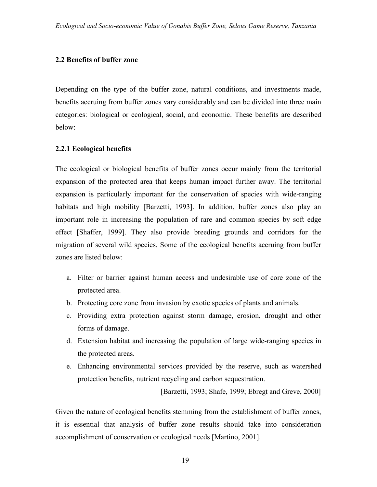## **2.2 Benefits of buffer zone**

Depending on the type of the buffer zone, natural conditions, and investments made, benefits accruing from buffer zones vary considerably and can be divided into three main categories: biological or ecological, social, and economic. These benefits are described below:

## **2.2.1 Ecological benefits**

The ecological or biological benefits of buffer zones occur mainly from the territorial expansion of the protected area that keeps human impact further away. The territorial expansion is particularly important for the conservation of species with wide-ranging habitats and high mobility [Barzetti, 1993]. In addition, buffer zones also play an important role in increasing the population of rare and common species by soft edge effect [Shaffer, 1999]. They also provide breeding grounds and corridors for the migration of several wild species. Some of the ecological benefits accruing from buffer zones are listed below:

- a. Filter or barrier against human access and undesirable use of core zone of the protected area.
- b. Protecting core zone from invasion by exotic species of plants and animals.
- c. Providing extra protection against storm damage, erosion, drought and other forms of damage.
- d. Extension habitat and increasing the population of large wide-ranging species in the protected areas.
- e. Enhancing environmental services provided by the reserve, such as watershed protection benefits, nutrient recycling and carbon sequestration.

[Barzetti, 1993; Shafe, 1999; Ebregt and Greve, 2000]

Given the nature of ecological benefits stemming from the establishment of buffer zones, it is essential that analysis of buffer zone results should take into consideration accomplishment of conservation or ecological needs [Martino, 2001].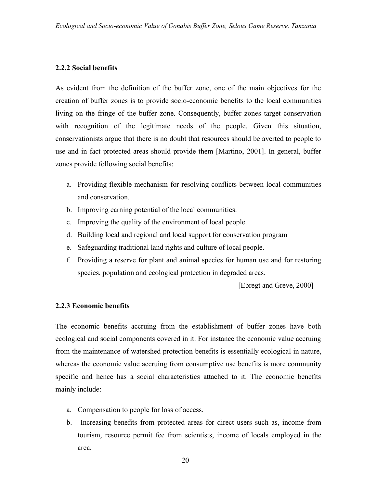## **2.2.2 Social benefits**

As evident from the definition of the buffer zone, one of the main objectives for the creation of buffer zones is to provide socio-economic benefits to the local communities living on the fringe of the buffer zone. Consequently, buffer zones target conservation with recognition of the legitimate needs of the people. Given this situation, conservationists argue that there is no doubt that resources should be averted to people to use and in fact protected areas should provide them [Martino, 2001]. In general, buffer zones provide following social benefits:

- a. Providing flexible mechanism for resolving conflicts between local communities and conservation.
- b. Improving earning potential of the local communities.
- c. Improving the quality of the environment of local people.
- d. Building local and regional and local support for conservation program
- e. Safeguarding traditional land rights and culture of local people.
- f. Providing a reserve for plant and animal species for human use and for restoring species, population and ecological protection in degraded areas.

[Ebregt and Greve, 2000]

## **2.2.3 Economic benefits**

The economic benefits accruing from the establishment of buffer zones have both ecological and social components covered in it. For instance the economic value accruing from the maintenance of watershed protection benefits is essentially ecological in nature, whereas the economic value accruing from consumptive use benefits is more community specific and hence has a social characteristics attached to it. The economic benefits mainly include:

- a. Compensation to people for loss of access.
- b. Increasing benefits from protected areas for direct users such as, income from tourism, resource permit fee from scientists, income of locals employed in the area.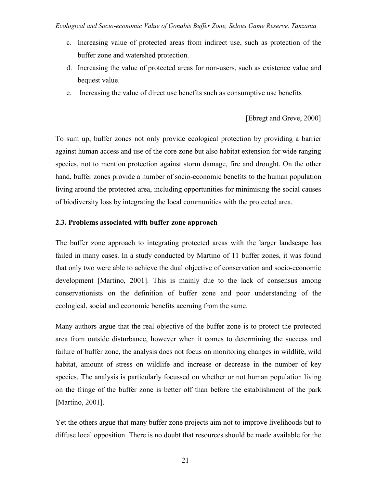- c. Increasing value of protected areas from indirect use, such as protection of the buffer zone and watershed protection.
- d. Increasing the value of protected areas for non-users, such as existence value and bequest value.
- e. Increasing the value of direct use benefits such as consumptive use benefits

## [Ebregt and Greve, 2000]

To sum up, buffer zones not only provide ecological protection by providing a barrier against human access and use of the core zone but also habitat extension for wide ranging species, not to mention protection against storm damage, fire and drought. On the other hand, buffer zones provide a number of socio-economic benefits to the human population living around the protected area, including opportunities for minimising the social causes of biodiversity loss by integrating the local communities with the protected area.

## **2.3. Problems associated with buffer zone approach**

The buffer zone approach to integrating protected areas with the larger landscape has failed in many cases. In a study conducted by Martino of 11 buffer zones, it was found that only two were able to achieve the dual objective of conservation and socio-economic development [Martino, 2001]. This is mainly due to the lack of consensus among conservationists on the definition of buffer zone and poor understanding of the ecological, social and economic benefits accruing from the same.

Many authors argue that the real objective of the buffer zone is to protect the protected area from outside disturbance, however when it comes to determining the success and failure of buffer zone, the analysis does not focus on monitoring changes in wildlife, wild habitat, amount of stress on wildlife and increase or decrease in the number of key species. The analysis is particularly focussed on whether or not human population living on the fringe of the buffer zone is better off than before the establishment of the park [Martino, 2001].

Yet the others argue that many buffer zone projects aim not to improve livelihoods but to diffuse local opposition. There is no doubt that resources should be made available for the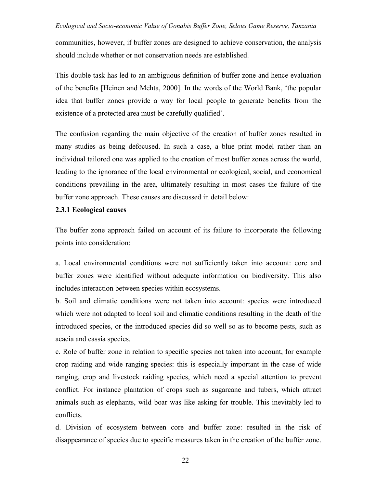communities, however, if buffer zones are designed to achieve conservation, the analysis should include whether or not conservation needs are established.

This double task has led to an ambiguous definition of buffer zone and hence evaluation of the benefits [Heinen and Mehta, 2000]. In the words of the World Bank, 'the popular idea that buffer zones provide a way for local people to generate benefits from the existence of a protected area must be carefully qualified'.

The confusion regarding the main objective of the creation of buffer zones resulted in many studies as being defocused. In such a case, a blue print model rather than an individual tailored one was applied to the creation of most buffer zones across the world, leading to the ignorance of the local environmental or ecological, social, and economical conditions prevailing in the area, ultimately resulting in most cases the failure of the buffer zone approach. These causes are discussed in detail below:

#### **2.3.1 Ecological causes**

The buffer zone approach failed on account of its failure to incorporate the following points into consideration:

a. Local environmental conditions were not sufficiently taken into account: core and buffer zones were identified without adequate information on biodiversity. This also includes interaction between species within ecosystems.

b. Soil and climatic conditions were not taken into account: species were introduced which were not adapted to local soil and climatic conditions resulting in the death of the introduced species, or the introduced species did so well so as to become pests, such as acacia and cassia species.

c. Role of buffer zone in relation to specific species not taken into account, for example crop raiding and wide ranging species: this is especially important in the case of wide ranging, crop and livestock raiding species, which need a special attention to prevent conflict. For instance plantation of crops such as sugarcane and tubers, which attract animals such as elephants, wild boar was like asking for trouble. This inevitably led to conflicts.

d. Division of ecosystem between core and buffer zone: resulted in the risk of disappearance of species due to specific measures taken in the creation of the buffer zone.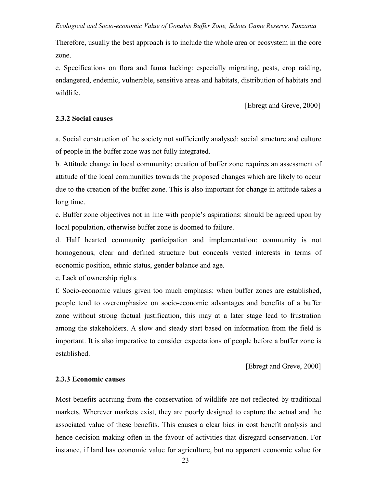Therefore, usually the best approach is to include the whole area or ecosystem in the core zone.

e. Specifications on flora and fauna lacking: especially migrating, pests, crop raiding, endangered, endemic, vulnerable, sensitive areas and habitats, distribution of habitats and wildlife.

[Ebregt and Greve, 2000]

## **2.3.2 Social causes**

a. Social construction of the society not sufficiently analysed: social structure and culture of people in the buffer zone was not fully integrated.

b. Attitude change in local community: creation of buffer zone requires an assessment of attitude of the local communities towards the proposed changes which are likely to occur due to the creation of the buffer zone. This is also important for change in attitude takes a long time.

c. Buffer zone objectives not in line with people's aspirations: should be agreed upon by local population, otherwise buffer zone is doomed to failure.

d. Half hearted community participation and implementation: community is not homogenous, clear and defined structure but conceals vested interests in terms of economic position, ethnic status, gender balance and age.

e. Lack of ownership rights.

f. Socio-economic values given too much emphasis: when buffer zones are established, people tend to overemphasize on socio-economic advantages and benefits of a buffer zone without strong factual justification, this may at a later stage lead to frustration among the stakeholders. A slow and steady start based on information from the field is important. It is also imperative to consider expectations of people before a buffer zone is established.

[Ebregt and Greve, 2000]

## **2.3.3 Economic causes**

Most benefits accruing from the conservation of wildlife are not reflected by traditional markets. Wherever markets exist, they are poorly designed to capture the actual and the associated value of these benefits. This causes a clear bias in cost benefit analysis and hence decision making often in the favour of activities that disregard conservation. For instance, if land has economic value for agriculture, but no apparent economic value for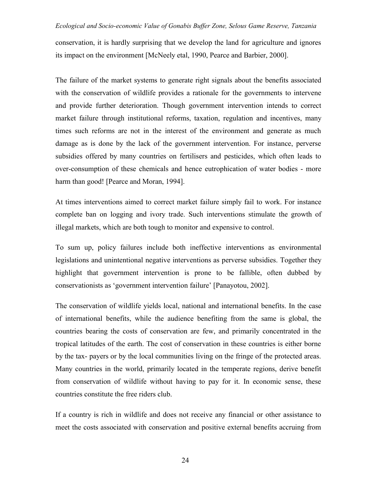conservation, it is hardly surprising that we develop the land for agriculture and ignores its impact on the environment [McNeely etal, 1990, Pearce and Barbier, 2000].

The failure of the market systems to generate right signals about the benefits associated with the conservation of wildlife provides a rationale for the governments to intervene and provide further deterioration. Though government intervention intends to correct market failure through institutional reforms, taxation, regulation and incentives, many times such reforms are not in the interest of the environment and generate as much damage as is done by the lack of the government intervention. For instance, perverse subsidies offered by many countries on fertilisers and pesticides, which often leads to over-consumption of these chemicals and hence eutrophication of water bodies - more harm than good! [Pearce and Moran, 1994].

At times interventions aimed to correct market failure simply fail to work. For instance complete ban on logging and ivory trade. Such interventions stimulate the growth of illegal markets, which are both tough to monitor and expensive to control.

To sum up, policy failures include both ineffective interventions as environmental legislations and unintentional negative interventions as perverse subsidies. Together they highlight that government intervention is prone to be fallible, often dubbed by conservationists as 'government intervention failure' [Panayotou, 2002].

The conservation of wildlife yields local, national and international benefits. In the case of international benefits, while the audience benefiting from the same is global, the countries bearing the costs of conservation are few, and primarily concentrated in the tropical latitudes of the earth. The cost of conservation in these countries is either borne by the tax- payers or by the local communities living on the fringe of the protected areas. Many countries in the world, primarily located in the temperate regions, derive benefit from conservation of wildlife without having to pay for it. In economic sense, these countries constitute the free riders club.

If a country is rich in wildlife and does not receive any financial or other assistance to meet the costs associated with conservation and positive external benefits accruing from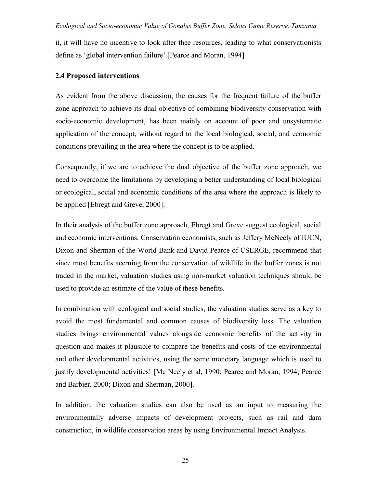it, it will have no incentive to look after thee resources, leading to what conservationists define as 'global intervention failure' [Pearce and Moran, 1994]

## **2.4 Proposed interventions**

As evident from the above discussion, the causes for the frequent failure of the buffer zone approach to achieve its dual objective of combining biodiversity conservation with socio-economic development, has been mainly on account of poor and unsystematic application of the concept, without regard to the local biological, social, and economic conditions prevailing in the area where the concept is to be applied.

Consequently, if we are to achieve the dual objective of the buffer zone approach, we need to overcome the limitations by developing a better understanding of local biological or ecological, social and economic conditions of the area where the approach is likely to be applied [Ebregt and Greve, 2000].

In their analysis of the buffer zone approach, Ebregt and Greve suggest ecological, social and economic interventions. Conservation economists, such as Jeffery McNeely of IUCN, Dixon and Sherman of the World Bank and David Pearce of CSERGE, recommend that since most benefits accruing from the conservation of wildlife in the buffer zones is not traded in the market, valuation studies using non-market valuation techniques should be used to provide an estimate of the value of these benefits.

In combination with ecological and social studies, the valuation studies serve as a key to avoid the most fundamental and common causes of biodiversity loss. The valuation studies brings environmental values alongside economic benefits of the activity in question and makes it plausible to compare the benefits and costs of the environmental and other developmental activities, using the same monetary language which is used to justify developmental activities! [Mc Neely et al, 1990; Pearce and Moran, 1994; Pearce and Barbier, 2000; Dixon and Sherman, 2000].

In addition, the valuation studies can also be used as an input to measuring the environmentally adverse impacts of development projects, such as rail and dam construction, in wildlife conservation areas by using Environmental Impact Analysis.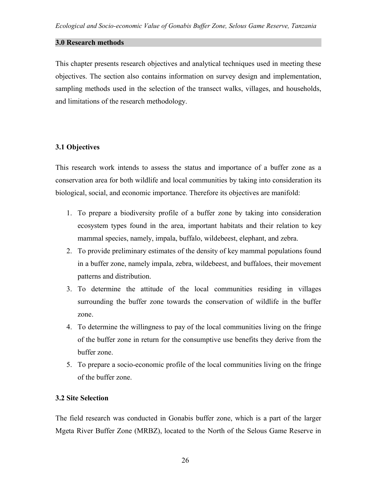## **3.0 Research methods**

This chapter presents research objectives and analytical techniques used in meeting these objectives. The section also contains information on survey design and implementation, sampling methods used in the selection of the transect walks, villages, and households, and limitations of the research methodology.

## **3.1 Objectives**

This research work intends to assess the status and importance of a buffer zone as a conservation area for both wildlife and local communities by taking into consideration its biological, social, and economic importance. Therefore its objectives are manifold:

- 1. To prepare a biodiversity profile of a buffer zone by taking into consideration ecosystem types found in the area, important habitats and their relation to key mammal species, namely, impala, buffalo, wildebeest, elephant, and zebra.
- 2. To provide preliminary estimates of the density of key mammal populations found in a buffer zone, namely impala, zebra, wildebeest, and buffaloes, their movement patterns and distribution.
- 3. To determine the attitude of the local communities residing in villages surrounding the buffer zone towards the conservation of wildlife in the buffer zone.
- 4. To determine the willingness to pay of the local communities living on the fringe of the buffer zone in return for the consumptive use benefits they derive from the buffer zone.
- 5. To prepare a socio-economic profile of the local communities living on the fringe of the buffer zone.

## **3.2 Site Selection**

The field research was conducted in Gonabis buffer zone, which is a part of the larger Mgeta River Buffer Zone (MRBZ), located to the North of the Selous Game Reserve in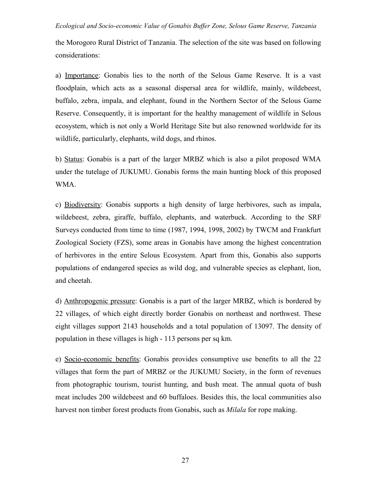the Morogoro Rural District of Tanzania. The selection of the site was based on following considerations:

a) Importance: Gonabis lies to the north of the Selous Game Reserve. It is a vast floodplain, which acts as a seasonal dispersal area for wildlife, mainly, wildebeest, buffalo, zebra, impala, and elephant, found in the Northern Sector of the Selous Game Reserve. Consequently, it is important for the healthy management of wildlife in Selous ecosystem, which is not only a World Heritage Site but also renowned worldwide for its wildlife, particularly, elephants, wild dogs, and rhinos.

b) Status: Gonabis is a part of the larger MRBZ which is also a pilot proposed WMA under the tutelage of JUKUMU. Gonabis forms the main hunting block of this proposed WMA.

c) Biodiversity: Gonabis supports a high density of large herbivores, such as impala, wildebeest, zebra, giraffe, buffalo, elephants, and waterbuck. According to the SRF Surveys conducted from time to time (1987, 1994, 1998, 2002) by TWCM and Frankfurt Zoological Society (FZS), some areas in Gonabis have among the highest concentration of herbivores in the entire Selous Ecosystem. Apart from this, Gonabis also supports populations of endangered species as wild dog, and vulnerable species as elephant, lion, and cheetah.

d) Anthropogenic pressure: Gonabis is a part of the larger MRBZ, which is bordered by 22 villages, of which eight directly border Gonabis on northeast and northwest. These eight villages support 2143 households and a total population of 13097. The density of population in these villages is high - 113 persons per sq km.

e) Socio-economic benefits: Gonabis provides consumptive use benefits to all the 22 villages that form the part of MRBZ or the JUKUMU Society, in the form of revenues from photographic tourism, tourist hunting, and bush meat. The annual quota of bush meat includes 200 wildebeest and 60 buffaloes. Besides this, the local communities also harvest non timber forest products from Gonabis, such as *Milala* for rope making.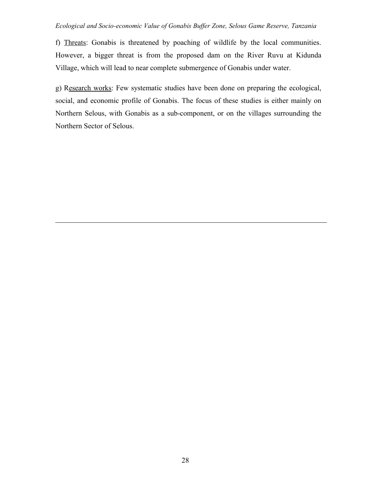f) Threats: Gonabis is threatened by poaching of wildlife by the local communities. However, a bigger threat is from the proposed dam on the River Ruvu at Kidunda Village, which will lead to near complete submergence of Gonabis under water.

g) Research works: Few systematic studies have been done on preparing the ecological, social, and economic profile of Gonabis. The focus of these studies is either mainly on Northern Selous, with Gonabis as a sub-component, or on the villages surrounding the Northern Sector of Selous.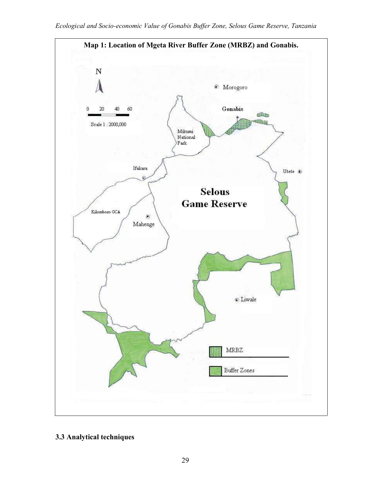

## **3.3 Analytical techniques**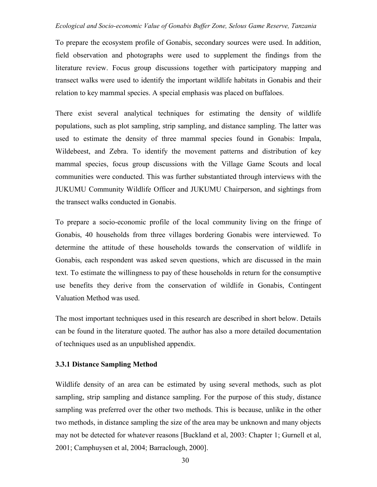To prepare the ecosystem profile of Gonabis, secondary sources were used. In addition, field observation and photographs were used to supplement the findings from the literature review. Focus group discussions together with participatory mapping and transect walks were used to identify the important wildlife habitats in Gonabis and their relation to key mammal species. A special emphasis was placed on buffaloes.

There exist several analytical techniques for estimating the density of wildlife populations, such as plot sampling, strip sampling, and distance sampling. The latter was used to estimate the density of three mammal species found in Gonabis: Impala, Wildebeest, and Zebra. To identify the movement patterns and distribution of key mammal species, focus group discussions with the Village Game Scouts and local communities were conducted. This was further substantiated through interviews with the JUKUMU Community Wildlife Officer and JUKUMU Chairperson, and sightings from the transect walks conducted in Gonabis.

To prepare a socio-economic profile of the local community living on the fringe of Gonabis, 40 households from three villages bordering Gonabis were interviewed. To determine the attitude of these households towards the conservation of wildlife in Gonabis, each respondent was asked seven questions, which are discussed in the main text. To estimate the willingness to pay of these households in return for the consumptive use benefits they derive from the conservation of wildlife in Gonabis, Contingent Valuation Method was used.

The most important techniques used in this research are described in short below. Details can be found in the literature quoted. The author has also a more detailed documentation of techniques used as an unpublished appendix.

## **3.3.1 Distance Sampling Method**

Wildlife density of an area can be estimated by using several methods, such as plot sampling, strip sampling and distance sampling. For the purpose of this study, distance sampling was preferred over the other two methods. This is because, unlike in the other two methods, in distance sampling the size of the area may be unknown and many objects may not be detected for whatever reasons [Buckland et al, 2003: Chapter 1; Gurnell et al, 2001; Camphuysen et al, 2004; Barraclough, 2000].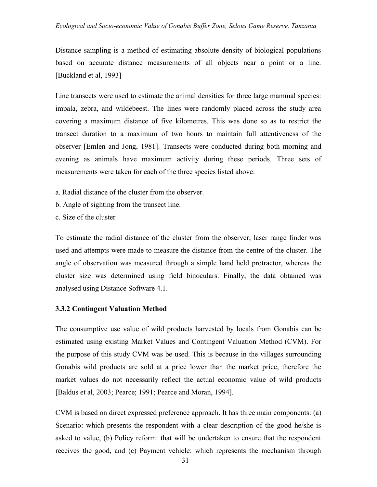Distance sampling is a method of estimating absolute density of biological populations based on accurate distance measurements of all objects near a point or a line. [Buckland et al, 1993]

Line transects were used to estimate the animal densities for three large mammal species: impala, zebra, and wildebeest. The lines were randomly placed across the study area covering a maximum distance of five kilometres. This was done so as to restrict the transect duration to a maximum of two hours to maintain full attentiveness of the observer [Emlen and Jong, 1981]. Transects were conducted during both morning and evening as animals have maximum activity during these periods. Three sets of measurements were taken for each of the three species listed above:

- a. Radial distance of the cluster from the observer.
- b. Angle of sighting from the transect line.
- c. Size of the cluster

To estimate the radial distance of the cluster from the observer, laser range finder was used and attempts were made to measure the distance from the centre of the cluster. The angle of observation was measured through a simple hand held protractor, whereas the cluster size was determined using field binoculars. Finally, the data obtained was analysed using Distance Software 4.1.

#### **3.3.2 Contingent Valuation Method**

The consumptive use value of wild products harvested by locals from Gonabis can be estimated using existing Market Values and Contingent Valuation Method (CVM). For the purpose of this study CVM was be used. This is because in the villages surrounding Gonabis wild products are sold at a price lower than the market price, therefore the market values do not necessarily reflect the actual economic value of wild products [Baldus et al, 2003; Pearce; 1991; Pearce and Moran, 1994].

CVM is based on direct expressed preference approach. It has three main components: (a) Scenario: which presents the respondent with a clear description of the good he/she is asked to value, (b) Policy reform: that will be undertaken to ensure that the respondent receives the good, and (c) Payment vehicle: which represents the mechanism through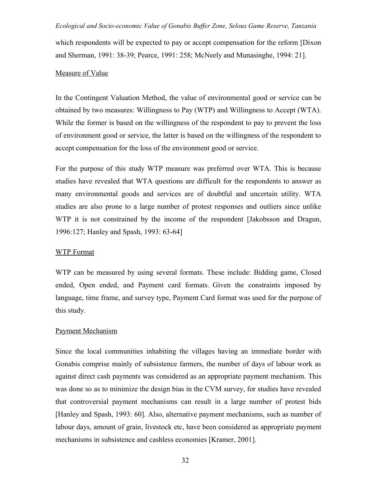which respondents will be expected to pay or accept compensation for the reform [Dixon and Sherman, 1991: 38-39; Pearce, 1991: 258; McNeely and Munasinghe, 1994: 21].

#### Measure of Value

In the Contingent Valuation Method, the value of environmental good or service can be obtained by two measures: Willingness to Pay (WTP) and Willingness to Accept (WTA). While the former is based on the willingness of the respondent to pay to prevent the loss of environment good or service, the latter is based on the willingness of the respondent to accept compensation for the loss of the environment good or service.

For the purpose of this study WTP measure was preferred over WTA. This is because studies have revealed that WTA questions are difficult for the respondents to answer as many environmental goods and services are of doubtful and uncertain utility. WTA studies are also prone to a large number of protest responses and outliers since unlike WTP it is not constrained by the income of the respondent [Jakobsson and Dragun, 1996:127; Hanley and Spash, 1993: 63-64]

#### WTP Format

WTP can be measured by using several formats. These include: Bidding game, Closed ended, Open ended, and Payment card formats. Given the constraints imposed by language, time frame, and survey type, Payment Card format was used for the purpose of this study.

#### Payment Mechanism

Since the local communities inhabiting the villages having an immediate border with Gonabis comprise mainly of subsistence farmers, the number of days of labour work as against direct cash payments was considered as an appropriate payment mechanism. This was done so as to minimize the design bias in the CVM survey, for studies have revealed that controversial payment mechanisms can result in a large number of protest bids [Hanley and Spash, 1993: 60]. Also, alternative payment mechanisms, such as number of labour days, amount of grain, livestock etc, have been considered as appropriate payment mechanisms in subsistence and cashless economies [Kramer, 2001].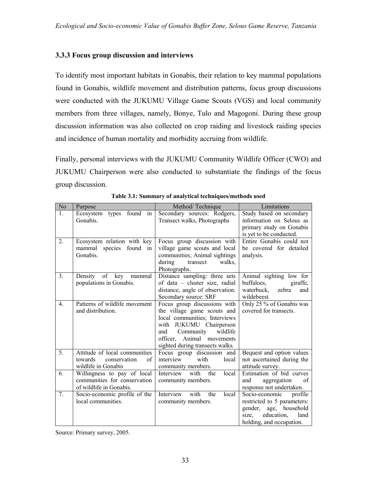## **3.3.3 Focus group discussion and interviews**

To identify most important habitats in Gonabis, their relation to key mammal populations found in Gonabis, wildlife movement and distribution patterns, focus group discussions were conducted with the JUKUMU Village Game Scouts (VGS) and local community members from three villages, namely, Bonye, Tulo and Magogoni. During these group discussion information was also collected on crop raiding and livestock raiding species and incidence of human mortality and morbidity accruing from wildlife.

Finally, personal interviews with the JUKUMU Community Wildlife Officer (CWO) and JUKUMU Chairperson were also conducted to substantiate the findings of the focus group discussion.

| Purpose                  | Method/Technique                                                                                                                                                                                                                                                                                                                                                                                                    | Limitations                                                                                                                                                                                                                                                                                                                                                                                                                                                                                                                                                                                                                                                                                                              |  |  |
|--------------------------|---------------------------------------------------------------------------------------------------------------------------------------------------------------------------------------------------------------------------------------------------------------------------------------------------------------------------------------------------------------------------------------------------------------------|--------------------------------------------------------------------------------------------------------------------------------------------------------------------------------------------------------------------------------------------------------------------------------------------------------------------------------------------------------------------------------------------------------------------------------------------------------------------------------------------------------------------------------------------------------------------------------------------------------------------------------------------------------------------------------------------------------------------------|--|--|
| Ecosystem types found in | Secondary sources: Rodgers,                                                                                                                                                                                                                                                                                                                                                                                         | Study based on secondary                                                                                                                                                                                                                                                                                                                                                                                                                                                                                                                                                                                                                                                                                                 |  |  |
| Gonabis.                 |                                                                                                                                                                                                                                                                                                                                                                                                                     | information on Selous as                                                                                                                                                                                                                                                                                                                                                                                                                                                                                                                                                                                                                                                                                                 |  |  |
|                          |                                                                                                                                                                                                                                                                                                                                                                                                                     | primary study on Gonabis                                                                                                                                                                                                                                                                                                                                                                                                                                                                                                                                                                                                                                                                                                 |  |  |
|                          |                                                                                                                                                                                                                                                                                                                                                                                                                     | is yet to be conducted.                                                                                                                                                                                                                                                                                                                                                                                                                                                                                                                                                                                                                                                                                                  |  |  |
|                          |                                                                                                                                                                                                                                                                                                                                                                                                                     | Entire Gonabis could not                                                                                                                                                                                                                                                                                                                                                                                                                                                                                                                                                                                                                                                                                                 |  |  |
| in                       |                                                                                                                                                                                                                                                                                                                                                                                                                     | be covered for detailed                                                                                                                                                                                                                                                                                                                                                                                                                                                                                                                                                                                                                                                                                                  |  |  |
|                          |                                                                                                                                                                                                                                                                                                                                                                                                                     | analysis.                                                                                                                                                                                                                                                                                                                                                                                                                                                                                                                                                                                                                                                                                                                |  |  |
|                          | transect<br>walks.                                                                                                                                                                                                                                                                                                                                                                                                  |                                                                                                                                                                                                                                                                                                                                                                                                                                                                                                                                                                                                                                                                                                                          |  |  |
|                          |                                                                                                                                                                                                                                                                                                                                                                                                                     |                                                                                                                                                                                                                                                                                                                                                                                                                                                                                                                                                                                                                                                                                                                          |  |  |
|                          |                                                                                                                                                                                                                                                                                                                                                                                                                     | Animal sighting low for                                                                                                                                                                                                                                                                                                                                                                                                                                                                                                                                                                                                                                                                                                  |  |  |
|                          |                                                                                                                                                                                                                                                                                                                                                                                                                     | buffaloes,<br>giraffe,                                                                                                                                                                                                                                                                                                                                                                                                                                                                                                                                                                                                                                                                                                   |  |  |
|                          |                                                                                                                                                                                                                                                                                                                                                                                                                     | waterbuck,<br>zebra<br>and                                                                                                                                                                                                                                                                                                                                                                                                                                                                                                                                                                                                                                                                                               |  |  |
|                          |                                                                                                                                                                                                                                                                                                                                                                                                                     | wildebeest.                                                                                                                                                                                                                                                                                                                                                                                                                                                                                                                                                                                                                                                                                                              |  |  |
|                          |                                                                                                                                                                                                                                                                                                                                                                                                                     | Only 25 % of Gonabis was                                                                                                                                                                                                                                                                                                                                                                                                                                                                                                                                                                                                                                                                                                 |  |  |
|                          |                                                                                                                                                                                                                                                                                                                                                                                                                     | covered for transects.                                                                                                                                                                                                                                                                                                                                                                                                                                                                                                                                                                                                                                                                                                   |  |  |
|                          |                                                                                                                                                                                                                                                                                                                                                                                                                     |                                                                                                                                                                                                                                                                                                                                                                                                                                                                                                                                                                                                                                                                                                                          |  |  |
|                          |                                                                                                                                                                                                                                                                                                                                                                                                                     |                                                                                                                                                                                                                                                                                                                                                                                                                                                                                                                                                                                                                                                                                                                          |  |  |
|                          |                                                                                                                                                                                                                                                                                                                                                                                                                     |                                                                                                                                                                                                                                                                                                                                                                                                                                                                                                                                                                                                                                                                                                                          |  |  |
|                          |                                                                                                                                                                                                                                                                                                                                                                                                                     |                                                                                                                                                                                                                                                                                                                                                                                                                                                                                                                                                                                                                                                                                                                          |  |  |
|                          |                                                                                                                                                                                                                                                                                                                                                                                                                     |                                                                                                                                                                                                                                                                                                                                                                                                                                                                                                                                                                                                                                                                                                                          |  |  |
|                          |                                                                                                                                                                                                                                                                                                                                                                                                                     | Bequest and option values                                                                                                                                                                                                                                                                                                                                                                                                                                                                                                                                                                                                                                                                                                |  |  |
|                          |                                                                                                                                                                                                                                                                                                                                                                                                                     | not ascertained during the                                                                                                                                                                                                                                                                                                                                                                                                                                                                                                                                                                                                                                                                                               |  |  |
|                          |                                                                                                                                                                                                                                                                                                                                                                                                                     | attitude survey.<br>Estimation of bid curves                                                                                                                                                                                                                                                                                                                                                                                                                                                                                                                                                                                                                                                                             |  |  |
|                          |                                                                                                                                                                                                                                                                                                                                                                                                                     | and<br>of                                                                                                                                                                                                                                                                                                                                                                                                                                                                                                                                                                                                                                                                                                                |  |  |
|                          |                                                                                                                                                                                                                                                                                                                                                                                                                     | aggregation                                                                                                                                                                                                                                                                                                                                                                                                                                                                                                                                                                                                                                                                                                              |  |  |
|                          |                                                                                                                                                                                                                                                                                                                                                                                                                     | response not undertaken.<br>Socio-economic<br>profile                                                                                                                                                                                                                                                                                                                                                                                                                                                                                                                                                                                                                                                                    |  |  |
|                          |                                                                                                                                                                                                                                                                                                                                                                                                                     | restricted to 5 parameters:                                                                                                                                                                                                                                                                                                                                                                                                                                                                                                                                                                                                                                                                                              |  |  |
|                          |                                                                                                                                                                                                                                                                                                                                                                                                                     | gender,<br>age, household                                                                                                                                                                                                                                                                                                                                                                                                                                                                                                                                                                                                                                                                                                |  |  |
|                          |                                                                                                                                                                                                                                                                                                                                                                                                                     | education,<br>size,<br>land                                                                                                                                                                                                                                                                                                                                                                                                                                                                                                                                                                                                                                                                                              |  |  |
|                          |                                                                                                                                                                                                                                                                                                                                                                                                                     | holding, and occupation.                                                                                                                                                                                                                                                                                                                                                                                                                                                                                                                                                                                                                                                                                                 |  |  |
|                          | Ecosystem relation with key<br>mammal species found<br>Gonabis.<br>Density of key mammal<br>populations in Gonabis.<br>Patterns of wildlife movement<br>and distribution.<br>Attitude of local communities<br>towards<br>conservation<br>of<br>wildlife in Gonabis<br>Willingness to pay of local<br>communities for conservation<br>of wildlife in Gonabis.<br>Socio-economic profile of the<br>local communities. | Transect walks, Photographs<br>Focus group discussion with<br>village game scouts and local<br>communities; Animal sightings<br>during<br>Photographs.<br>Distance sampling: three sets<br>of data – cluster size, radial<br>distance, angle of observation.<br>Secondary source: SRF<br>Focus group discussions with<br>the village game scouts and<br>local communities; Interviews<br>with JUKUMU Chairperson<br>Community<br>wildlife<br>and<br>officer, Animal movements<br>sighted during transects walks.<br>Focus group discussion and<br>interview<br>with<br>local<br>community members.<br>local<br>Interview<br>with<br>the<br>community members.<br>Interview<br>with<br>local<br>the<br>community members. |  |  |

**Table 3.1: Summary of analytical techniques/methods used**

Source: Primary survey, 2005.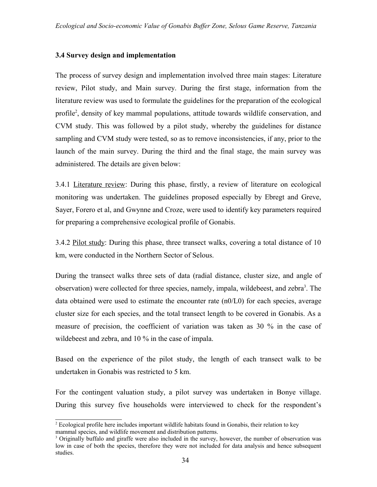## **3.4 Survey design and implementation**

The process of survey design and implementation involved three main stages: Literature review, Pilot study, and Main survey. During the first stage, information from the literature review was used to formulate the guidelines for the preparation of the ecological profile 2 , density of key mammal populations, attitude towards wildlife conservation, and CVM study. This was followed by a pilot study, whereby the guidelines for distance sampling and CVM study were tested, so as to remove inconsistencies, if any, prior to the launch of the main survey. During the third and the final stage, the main survey was administered. The details are given below:

3.4.1 Literature review: During this phase, firstly, a review of literature on ecological monitoring was undertaken. The guidelines proposed especially by Ebregt and Greve, Sayer, Forero et al, and Gwynne and Croze, were used to identify key parameters required for preparing a comprehensive ecological profile of Gonabis.

3.4.2 Pilot study: During this phase, three transect walks, covering a total distance of 10 km, were conducted in the Northern Sector of Selous.

During the transect walks three sets of data (radial distance, cluster size, and angle of observation) were collected for three species, namely, impala, wildebeest, and zebra<sup>3</sup>. The data obtained were used to estimate the encounter rate  $(n0/L0)$  for each species, average cluster size for each species, and the total transect length to be covered in Gonabis. As a measure of precision, the coefficient of variation was taken as 30 % in the case of wildebeest and zebra, and 10 % in the case of impala.

Based on the experience of the pilot study, the length of each transect walk to be undertaken in Gonabis was restricted to 5 km.

For the contingent valuation study, a pilot survey was undertaken in Bonye village. During this survey five households were interviewed to check for the respondent's

<sup>&</sup>lt;sup>2</sup> Ecological profile here includes important wildlife habitats found in Gonabis, their relation to key mammal species, and wildlife movement and distribution patterns.

<sup>&</sup>lt;sup>3</sup> Originally buffalo and giraffe were also included in the survey, however, the number of observation was low in case of both the species, therefore they were not included for data analysis and hence subsequent studies.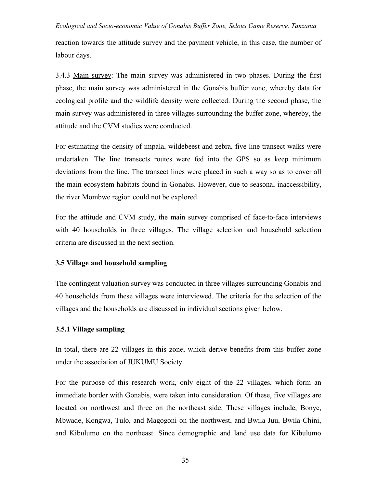reaction towards the attitude survey and the payment vehicle, in this case, the number of labour days.

3.4.3 Main survey: The main survey was administered in two phases. During the first phase, the main survey was administered in the Gonabis buffer zone, whereby data for ecological profile and the wildlife density were collected. During the second phase, the main survey was administered in three villages surrounding the buffer zone, whereby, the attitude and the CVM studies were conducted.

For estimating the density of impala, wildebeest and zebra, five line transect walks were undertaken. The line transects routes were fed into the GPS so as keep minimum deviations from the line. The transect lines were placed in such a way so as to cover all the main ecosystem habitats found in Gonabis. However, due to seasonal inaccessibility, the river Mombwe region could not be explored.

For the attitude and CVM study, the main survey comprised of face-to-face interviews with 40 households in three villages. The village selection and household selection criteria are discussed in the next section.

#### **3.5 Village and household sampling**

The contingent valuation survey was conducted in three villages surrounding Gonabis and 40 households from these villages were interviewed. The criteria for the selection of the villages and the households are discussed in individual sections given below.

#### **3.5.1 Village sampling**

In total, there are 22 villages in this zone, which derive benefits from this buffer zone under the association of JUKUMU Society.

For the purpose of this research work, only eight of the 22 villages, which form an immediate border with Gonabis, were taken into consideration. Of these, five villages are located on northwest and three on the northeast side. These villages include, Bonye, Mbwade, Kongwa, Tulo, and Magogoni on the northwest, and Bwila Juu, Bwila Chini, and Kibulumo on the northeast. Since demographic and land use data for Kibulumo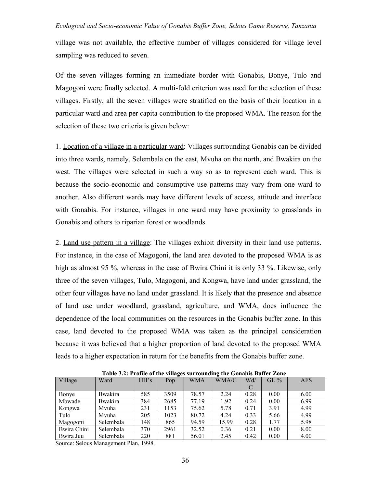village was not available, the effective number of villages considered for village level sampling was reduced to seven.

Of the seven villages forming an immediate border with Gonabis, Bonye, Tulo and Magogoni were finally selected. A multi-fold criterion was used for the selection of these villages. Firstly, all the seven villages were stratified on the basis of their location in a particular ward and area per capita contribution to the proposed WMA. The reason for the selection of these two criteria is given below:

1. Location of a village in a particular ward: Villages surrounding Gonabis can be divided into three wards, namely, Selembala on the east, Mvuha on the north, and Bwakira on the west. The villages were selected in such a way so as to represent each ward. This is because the socio-economic and consumptive use patterns may vary from one ward to another. Also different wards may have different levels of access, attitude and interface with Gonabis. For instance, villages in one ward may have proximity to grasslands in Gonabis and others to riparian forest or woodlands.

2. Land use pattern in a village: The villages exhibit diversity in their land use patterns. For instance, in the case of Magogoni, the land area devoted to the proposed WMA is as high as almost 95 %, whereas in the case of Bwira Chini it is only 33 %. Likewise, only three of the seven villages, Tulo, Magogoni, and Kongwa, have land under grassland, the other four villages have no land under grassland. It is likely that the presence and absence of land use under woodland, grassland, agriculture, and WMA, does influence the dependence of the local communities on the resources in the Gonabis buffer zone. In this case, land devoted to the proposed WMA was taken as the principal consideration because it was believed that a higher proportion of land devoted to the proposed WMA leads to a higher expectation in return for the benefits from the Gonabis buffer zone.

| Table 3.2: Profile of the villages surrounding the Gonabls Buffer Zone |                 |      |      |            |       |      |         |            |  |  |
|------------------------------------------------------------------------|-----------------|------|------|------------|-------|------|---------|------------|--|--|
| Village                                                                | Ward            | HH's | Pop  | <b>WMA</b> | WMA/C | Wd/  | GL $\%$ | <b>AFS</b> |  |  |
|                                                                        |                 |      |      |            |       | C    |         |            |  |  |
| Bonye                                                                  | <b>Bwakira</b>  | 585  | 3509 | 78.57      | 2.24  | 0.28 | 0.00    | 6.00       |  |  |
| Mbwade                                                                 | <b>B</b> wakira | 384  | 2685 | 77.19      | 1.92  | 0.24 | 0.00    | 6.99       |  |  |
| Kongwa                                                                 | Mvuha           | 231  | 1153 | 75.62      | 5.78  | 0.71 | 3.91    | 4.99       |  |  |
| Tulo                                                                   | Mvuha           | 205  | 1023 | 80.72      | 4.24  | 0.33 | 5.66    | 4.99       |  |  |
| Magogoni                                                               | Selembala       | 148  | 865  | 94.59      | 15.99 | 0.28 | 1.77    | 5.98       |  |  |
| Bwira Chini                                                            | Selembala       | 370  | 2961 | 32.52      | 0.36  | 0.21 | 0.00    | 8.00       |  |  |
| Bwira Juu                                                              | Selembala       | 220  | 881  | 56.01      | 2.45  | 0.42 | 0.00    | 4.00       |  |  |
|                                                                        |                 |      |      |            |       |      |         |            |  |  |

 **Table 3.2: Profile of the villages surrounding the Gonabis Buffer Zone**

Source: Selous Management Plan, 1998.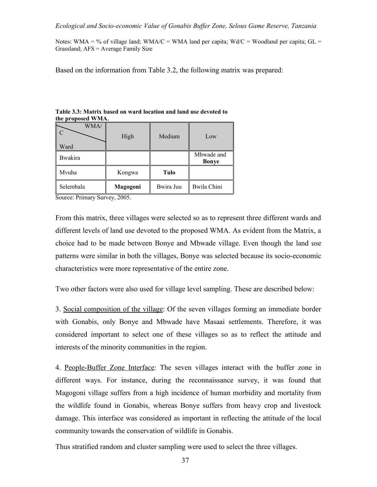Notes: WMA = % of village land; WMA/C = WMA land per capita; Wd/C = Woodland per capita; GL = Grassland; AFS = Average Family Size

Based on the information from Table 3.2, the following matrix was prepared:

| WMA            | High     | Medium    | Low                        |
|----------------|----------|-----------|----------------------------|
| Ward           |          |           |                            |
| <b>Bwakira</b> |          |           | Mbwade and<br><b>Bonye</b> |
| Mvuha          | Kongwa   | Tulo      |                            |
| Selembala      | Magogoni | Bwira Juu | <b>Bwila Chini</b>         |

**Table 3.3: Matrix based on ward location and land use devoted to the proposed WMA.**

Source: Primary Survey, 2005.

From this matrix, three villages were selected so as to represent three different wards and different levels of land use devoted to the proposed WMA. As evident from the Matrix, a choice had to be made between Bonye and Mbwade village. Even though the land use patterns were similar in both the villages, Bonye was selected because its socio-economic characteristics were more representative of the entire zone.

Two other factors were also used for village level sampling. These are described below:

3. Social composition of the village: Of the seven villages forming an immediate border with Gonabis, only Bonye and Mbwade have Masaai settlements. Therefore, it was considered important to select one of these villages so as to reflect the attitude and interests of the minority communities in the region.

4. People-Buffer Zone Interface: The seven villages interact with the buffer zone in different ways. For instance, during the reconnaissance survey, it was found that Magogoni village suffers from a high incidence of human morbidity and mortality from the wildlife found in Gonabis, whereas Bonye suffers from heavy crop and livestock damage. This interface was considered as important in reflecting the attitude of the local community towards the conservation of wildlife in Gonabis.

Thus stratified random and cluster sampling were used to select the three villages.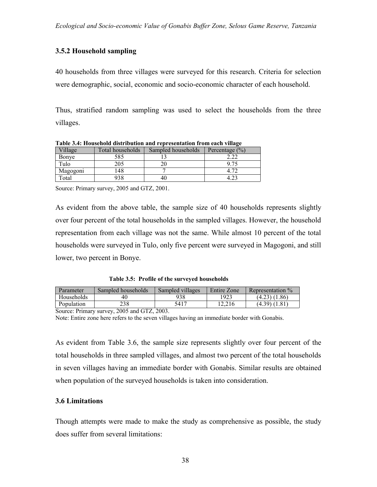# **3.5.2 Household sampling**

40 households from three villages were surveyed for this research. Criteria for selection were demographic, social, economic and socio-economic character of each household.

Thus, stratified random sampling was used to select the households from the three villages.

| Village  | Total households | Sampled households | Percentage $(\% )$ |
|----------|------------------|--------------------|--------------------|
| Bonye    | 585              |                    |                    |
| Tulo     | 205              |                    |                    |
| Magogoni | 48               |                    |                    |
| Total    | 938              |                    |                    |

**Table 3.4: Household distribution and representation from each village**

Source: Primary survey, 2005 and GTZ, 2001.

As evident from the above table, the sample size of 40 households represents slightly over four percent of the total households in the sampled villages. However, the household representation from each village was not the same. While almost 10 percent of the total households were surveyed in Tulo, only five percent were surveyed in Magogoni, and still lower, two percent in Bonye.

 **Table 3.5: Profile of the surveyed households**

| Parameter  | Sampled households | Sampled villages | Entire Zone | Representation %  |
|------------|--------------------|------------------|-------------|-------------------|
| Households | 40                 | 938              | 1923        | $(4.23)$ $(1.86)$ |
| Population | 238                | 5417             | 12.216      | (4.39) (1.81)     |

Source: Primary survey, 2005 and GTZ, 2003.

Note: Entire zone here refers to the seven villages having an immediate border with Gonabis.

As evident from Table 3.6, the sample size represents slightly over four percent of the total households in three sampled villages, and almost two percent of the total households in seven villages having an immediate border with Gonabis. Similar results are obtained when population of the surveyed households is taken into consideration.

## **3.6 Limitations**

Though attempts were made to make the study as comprehensive as possible, the study does suffer from several limitations: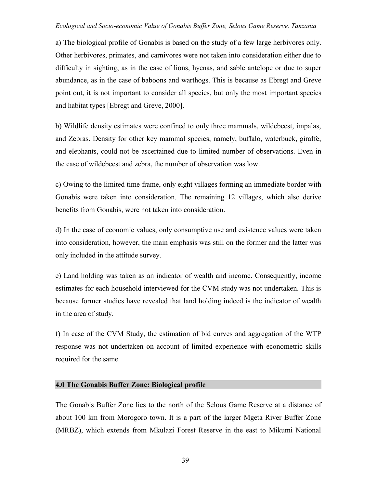a) The biological profile of Gonabis is based on the study of a few large herbivores only. Other herbivores, primates, and carnivores were not taken into consideration either due to difficulty in sighting, as in the case of lions, hyenas, and sable antelope or due to super abundance, as in the case of baboons and warthogs. This is because as Ebregt and Greve point out, it is not important to consider all species, but only the most important species and habitat types [Ebregt and Greve, 2000].

b) Wildlife density estimates were confined to only three mammals, wildebeest, impalas, and Zebras. Density for other key mammal species, namely, buffalo, waterbuck, giraffe, and elephants, could not be ascertained due to limited number of observations. Even in the case of wildebeest and zebra, the number of observation was low.

c) Owing to the limited time frame, only eight villages forming an immediate border with Gonabis were taken into consideration. The remaining 12 villages, which also derive benefits from Gonabis, were not taken into consideration.

d) In the case of economic values, only consumptive use and existence values were taken into consideration, however, the main emphasis was still on the former and the latter was only included in the attitude survey.

e) Land holding was taken as an indicator of wealth and income. Consequently, income estimates for each household interviewed for the CVM study was not undertaken. This is because former studies have revealed that land holding indeed is the indicator of wealth in the area of study.

f) In case of the CVM Study, the estimation of bid curves and aggregation of the WTP response was not undertaken on account of limited experience with econometric skills required for the same.

# **4.0 The Gonabis Buffer Zone: Biological profile**

The Gonabis Buffer Zone lies to the north of the Selous Game Reserve at a distance of about 100 km from Morogoro town. It is a part of the larger Mgeta River Buffer Zone (MRBZ), which extends from Mkulazi Forest Reserve in the east to Mikumi National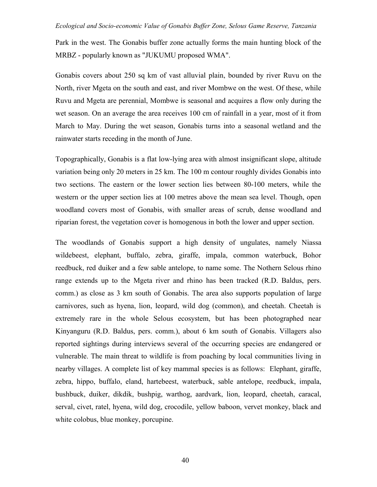Park in the west. The Gonabis buffer zone actually forms the main hunting block of the MRBZ - popularly known as "JUKUMU proposed WMA".

Gonabis covers about 250 sq km of vast alluvial plain, bounded by river Ruvu on the North, river Mgeta on the south and east, and river Mombwe on the west. Of these, while Ruvu and Mgeta are perennial, Mombwe is seasonal and acquires a flow only during the wet season. On an average the area receives 100 cm of rainfall in a year, most of it from March to May. During the wet season, Gonabis turns into a seasonal wetland and the rainwater starts receding in the month of June.

Topographically, Gonabis is a flat low-lying area with almost insignificant slope, altitude variation being only 20 meters in 25 km. The 100 m contour roughly divides Gonabis into two sections. The eastern or the lower section lies between 80-100 meters, while the western or the upper section lies at 100 metres above the mean sea level. Though, open woodland covers most of Gonabis, with smaller areas of scrub, dense woodland and riparian forest, the vegetation cover is homogenous in both the lower and upper section.

The woodlands of Gonabis support a high density of ungulates, namely Niassa wildebeest, elephant, buffalo, zebra, giraffe, impala, common waterbuck, Bohor reedbuck, red duiker and a few sable antelope, to name some. The Nothern Selous rhino range extends up to the Mgeta river and rhino has been tracked (R.D. Baldus, pers. comm.) as close as 3 km south of Gonabis. The area also supports population of large carnivores, such as hyena, lion, leopard, wild dog (common), and cheetah. Cheetah is extremely rare in the whole Selous ecosystem, but has been photographed near Kinyanguru (R.D. Baldus, pers. comm.), about 6 km south of Gonabis. Villagers also reported sightings during interviews several of the occurring species are endangered or vulnerable. The main threat to wildlife is from poaching by local communities living in nearby villages. A complete list of key mammal species is as follows: Elephant, giraffe, zebra, hippo, buffalo, eland, hartebeest, waterbuck, sable antelope, reedbuck, impala, bushbuck, duiker, dikdik, bushpig, warthog, aardvark, lion, leopard, cheetah, caracal, serval, civet, ratel, hyena, wild dog, crocodile, yellow baboon, vervet monkey, black and white colobus, blue monkey, porcupine.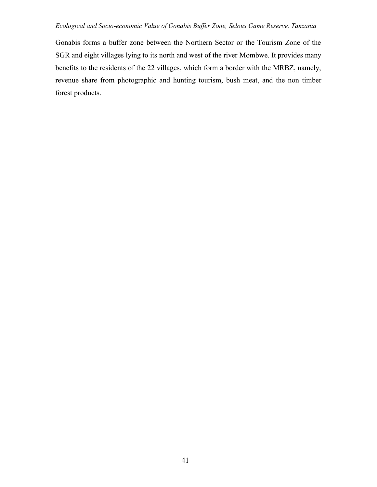Gonabis forms a buffer zone between the Northern Sector or the Tourism Zone of the SGR and eight villages lying to its north and west of the river Mombwe. It provides many benefits to the residents of the 22 villages, which form a border with the MRBZ, namely, revenue share from photographic and hunting tourism, bush meat, and the non timber forest products.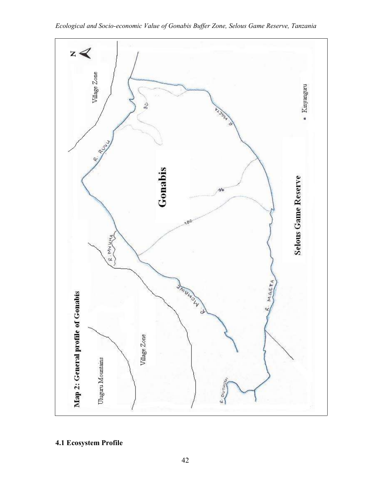

**4.1 Ecosystem Profile**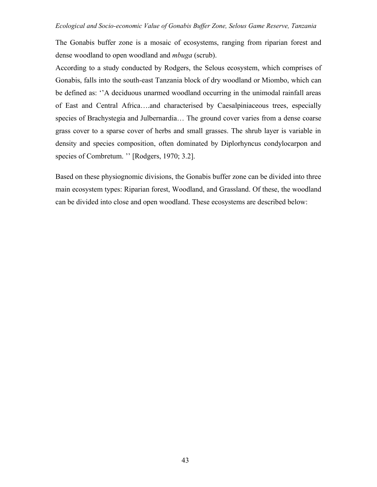The Gonabis buffer zone is a mosaic of ecosystems, ranging from riparian forest and dense woodland to open woodland and *mbuga* (scrub).

According to a study conducted by Rodgers, the Selous ecosystem, which comprises of Gonabis, falls into the south-east Tanzania block of dry woodland or Miombo, which can be defined as: ''A deciduous unarmed woodland occurring in the unimodal rainfall areas of East and Central Africa….and characterised by Caesalpiniaceous trees, especially species of Brachystegia and Julbernardia… The ground cover varies from a dense coarse grass cover to a sparse cover of herbs and small grasses. The shrub layer is variable in density and species composition, often dominated by Diplorhyncus condylocarpon and species of Combretum. " [Rodgers, 1970; 3.2].

Based on these physiognomic divisions, the Gonabis buffer zone can be divided into three main ecosystem types: Riparian forest, Woodland, and Grassland. Of these, the woodland can be divided into close and open woodland. These ecosystems are described below: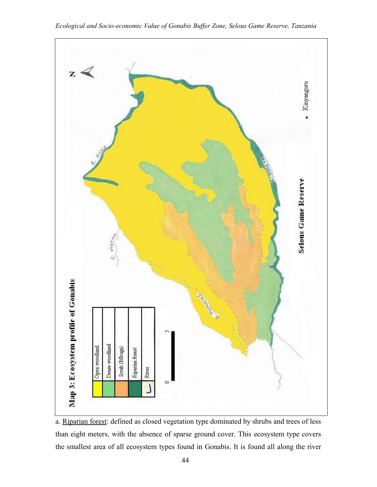

*Ecological and Socio-economic Value of Gonabis Buffer Zone, Selous Game Reserve, Tanzania*

a. Riparian forest: defined as closed vegetation type dominated by shrubs and trees of less than eight meters, with the absence of sparse ground cover. This ecosystem type covers the smallest area of all ecosystem types found in Gonabis. It is found all along the river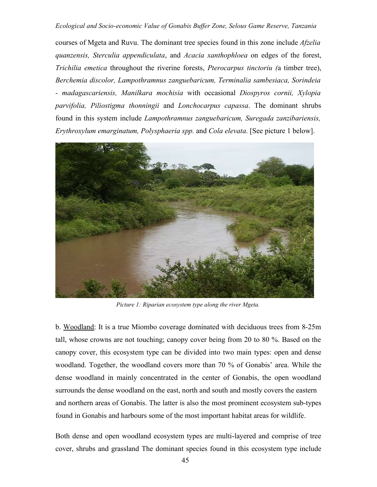courses of Mgeta and Ruvu. The dominant tree species found in this zone include *Afzelia quanzensis, Sterculia appendiculata*, and *Acacia xanthophloea* on edges of the forest, *Trichilia emetica* throughout the riverine forests, *Pterocarpus tinctoriu (*a timber tree), *Berchemia discolor, Lampothramnus zanguebaricum, Terminalia sambesiaca, Sorindeia - madagascariensis, Manilkara mochisia* with occasional *Diospyros cornii, Xylopia parvifolia, Piliostigma thonningii* and *Lonchocarpus capassa*. The dominant shrubs found in this system include *Lampothramnus zanguebaricum, Suregada zanzibariensis, Erythroxylum emarginatum, Polysphaeria spp.* and *Cola elevata*. [See picture 1 below].



*Picture 1: Riparian ecosystem type along the river Mgeta.*

b. Woodland: It is a true Miombo coverage dominated with deciduous trees from 8-25m tall, whose crowns are not touching; canopy cover being from 20 to 80 %. Based on the canopy cover, this ecosystem type can be divided into two main types: open and dense woodland. Together, the woodland covers more than 70 % of Gonabis' area. While the dense woodland in mainly concentrated in the center of Gonabis, the open woodland surrounds the dense woodland on the east, north and south and mostly covers the eastern and northern areas of Gonabis. The latter is also the most prominent ecosystem sub-types found in Gonabis and harbours some of the most important habitat areas for wildlife.

Both dense and open woodland ecosystem types are multi-layered and comprise of tree cover, shrubs and grassland The dominant species found in this ecosystem type include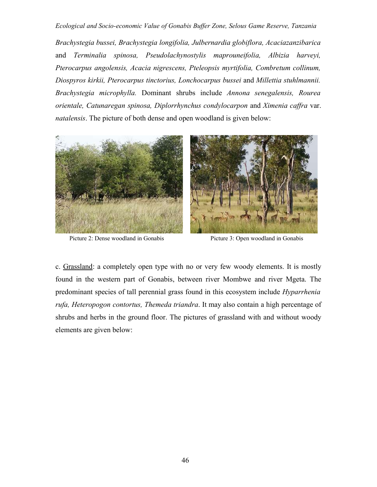*Brachystegia bussei, Brachystegia longifolia, Julbernardia globiflora, Acaciazanzibarica* and *Terminalia spinosa, Pseudolachynostylis maprouneifolia, Albizia harveyi, Pterocarpus angolensis, Acacia nigrescens, Pteleopsis myrtifolia, Combretum collinum, Diospyros kirkii, Pterocarpus tinctorius, Lonchocarpus bussei* and *Millettia stuhlmannii. Brachystegia microphylla.* Dominant shrubs include *Annona senegalensis, Rourea orientale, Catunaregan spinosa, Diplorrhynchus condylocarpon* and *Ximenia caffra* var. *natalensis*. The picture of both dense and open woodland is given below:



Picture 2: Dense woodland in Gonabis Picture 3: Open woodland in Gonabis

c. Grassland: a completely open type with no or very few woody elements. It is mostly found in the western part of Gonabis, between river Mombwe and river Mgeta. The predominant species of tall perennial grass found in this ecosystem include *Hyparrhenia rufa, Heteropogon contortus, Themeda triandra*. It may also contain a high percentage of shrubs and herbs in the ground floor. The pictures of grassland with and without woody elements are given below: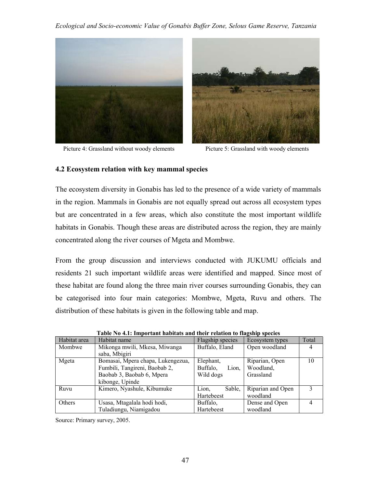



Picture 4: Grassland without woody elements Picture 5: Grassland with woody elements

# **4.2 Ecosystem relation with key mammal species**

The ecosystem diversity in Gonabis has led to the presence of a wide variety of mammals in the region. Mammals in Gonabis are not equally spread out across all ecosystem types but are concentrated in a few areas, which also constitute the most important wildlife habitats in Gonabis. Though these areas are distributed across the region, they are mainly concentrated along the river courses of Mgeta and Mombwe.

From the group discussion and interviews conducted with JUKUMU officials and residents 21 such important wildlife areas were identified and mapped. Since most of these habitat are found along the three main river courses surrounding Gonabis, they can be categorised into four main categories: Mombwe, Mgeta, Ruvu and others. The distribution of these habitats is given in the following table and map.

| Habitat area  | Habitat name                      | Flagship species  | Ecosystem types   | Total |
|---------------|-----------------------------------|-------------------|-------------------|-------|
| Mombwe        | Mikonga mwili, Mkesa, Miwanga     | Buffalo, Eland    | Open woodland     | 4     |
|               | saba, Mbigiri                     |                   |                   |       |
| Mgeta         | Bomasai, Mpera chapa, Lukengezua, | Elephant,         | Riparian, Open    | 10    |
|               | Fumbili, Tangireni, Baobab 2,     | Buffalo,<br>Lion. | Woodland,         |       |
|               | Baobab 3, Baobab 6, Mpera         | Wild dogs         | Grassland         |       |
|               | kibonge, Upinde                   |                   |                   |       |
| Ruvu          | Kimero, Nyashule, Kibumuke        | Sable.<br>Lion,   | Riparian and Open | ζ     |
|               |                                   | Hartebeest        | woodland          |       |
| <b>Others</b> | Usasa, Mtagalala hodi hodi,       | Buffalo,          | Dense and Open    |       |
|               | Tuladiungu, Niamigadou            | Hartebeest        | woodland          |       |

**Table No 4.1: Important habitats and their relation to flagship species**

Source: Primary survey, 2005.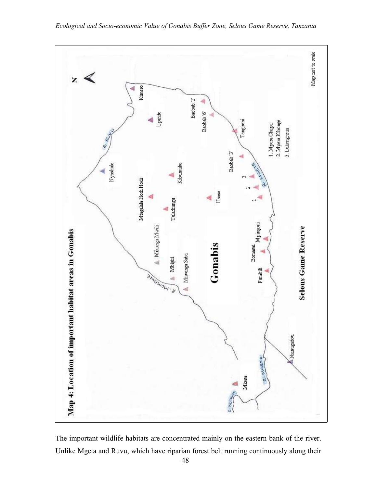

The important wildlife habitats are concentrated mainly on the eastern bank of the river. Unlike Mgeta and Ruvu, which have riparian forest belt running continuously along their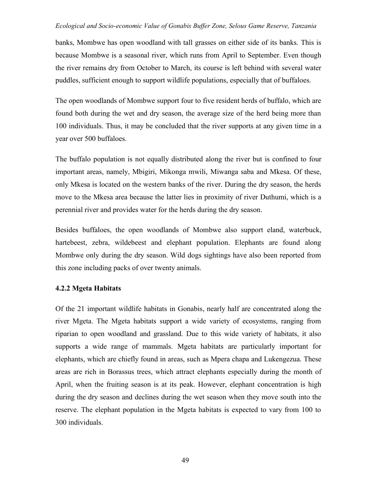banks, Mombwe has open woodland with tall grasses on either side of its banks. This is because Mombwe is a seasonal river, which runs from April to September. Even though the river remains dry from October to March, its course is left behind with several water puddles, sufficient enough to support wildlife populations, especially that of buffaloes.

The open woodlands of Mombwe support four to five resident herds of buffalo, which are found both during the wet and dry season, the average size of the herd being more than 100 individuals. Thus, it may be concluded that the river supports at any given time in a year over 500 buffaloes.

The buffalo population is not equally distributed along the river but is confined to four important areas, namely, Mbigiri, Mikonga mwili, Miwanga saba and Mkesa. Of these, only Mkesa is located on the western banks of the river. During the dry season, the herds move to the Mkesa area because the latter lies in proximity of river Duthumi, which is a perennial river and provides water for the herds during the dry season.

Besides buffaloes, the open woodlands of Mombwe also support eland, waterbuck, hartebeest, zebra, wildebeest and elephant population. Elephants are found along Mombwe only during the dry season. Wild dogs sightings have also been reported from this zone including packs of over twenty animals.

## **4.2.2 Mgeta Habitats**

Of the 21 important wildlife habitats in Gonabis, nearly half are concentrated along the river Mgeta. The Mgeta habitats support a wide variety of ecosystems, ranging from riparian to open woodland and grassland. Due to this wide variety of habitats, it also supports a wide range of mammals. Mgeta habitats are particularly important for elephants, which are chiefly found in areas, such as Mpera chapa and Lukengezua. These areas are rich in Borassus trees, which attract elephants especially during the month of April, when the fruiting season is at its peak. However, elephant concentration is high during the dry season and declines during the wet season when they move south into the reserve. The elephant population in the Mgeta habitats is expected to vary from 100 to 300 individuals.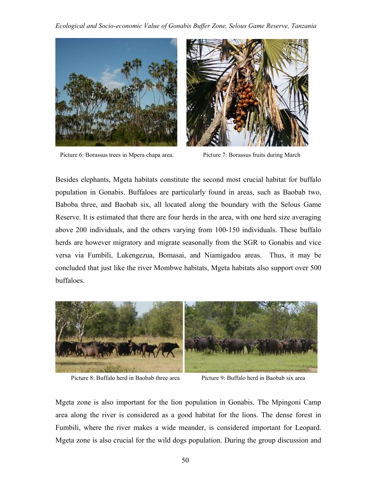

Picture 6: Borassus trees in Mpera chapa area. Picture 7: Borassus fruits during March



Besides elephants, Mgeta habitats constitute the second most crucial habitat for buffalo population in Gonabis. Buffaloes are particularly found in areas, such as Baobab two, Baboba three, and Baobab six, all located along the boundary with the Selous Game Reserve. It is estimated that there are four herds in the area, with one herd size averaging above 200 individuals, and the others varying from 100-150 individuals. These buffalo herds are however migratory and migrate seasonally from the SGR to Gonabis and vice versa via Fumbili, Lukengezua, Bomasai, and Niamigadou areas. Thus, it may be concluded that just like the river Mombwe habitats, Mgeta habitats also support over 500 buffaloes.



Picture 8: Buffalo herd in Baobab three area Picture 9: Buffalo herd in Baobab six area

Mgeta zone is also important for the lion population in Gonabis. The Mpingoni Camp area along the river is considered as a good habitat for the lions. The dense forest in Fumbili, where the river makes a wide meander, is considered important for Leopard. Mgeta zone is also crucial for the wild dogs population. During the group discussion and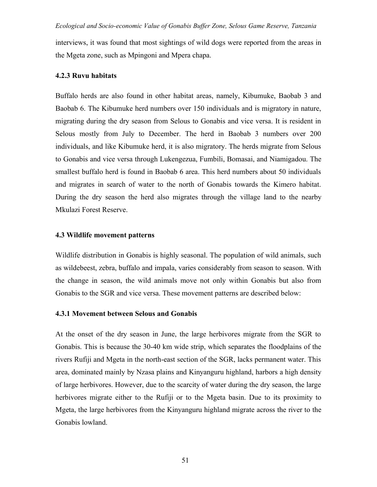interviews, it was found that most sightings of wild dogs were reported from the areas in the Mgeta zone, such as Mpingoni and Mpera chapa.

### **4.2.3 Ruvu habitats**

Buffalo herds are also found in other habitat areas, namely, Kibumuke, Baobab 3 and Baobab 6. The Kibumuke herd numbers over 150 individuals and is migratory in nature, migrating during the dry season from Selous to Gonabis and vice versa. It is resident in Selous mostly from July to December. The herd in Baobab 3 numbers over 200 individuals, and like Kibumuke herd, it is also migratory. The herds migrate from Selous to Gonabis and vice versa through Lukengezua, Fumbili, Bomasai, and Niamigadou. The smallest buffalo herd is found in Baobab 6 area. This herd numbers about 50 individuals and migrates in search of water to the north of Gonabis towards the Kimero habitat. During the dry season the herd also migrates through the village land to the nearby Mkulazi Forest Reserve.

## **4.3 Wildlife movement patterns**

Wildlife distribution in Gonabis is highly seasonal. The population of wild animals, such as wildebeest, zebra, buffalo and impala, varies considerably from season to season. With the change in season, the wild animals move not only within Gonabis but also from Gonabis to the SGR and vice versa. These movement patterns are described below:

## **4.3.1 Movement between Selous and Gonabis**

At the onset of the dry season in June, the large herbivores migrate from the SGR to Gonabis. This is because the 30-40 km wide strip, which separates the floodplains of the rivers Rufiji and Mgeta in the north-east section of the SGR, lacks permanent water. This area, dominated mainly by Nzasa plains and Kinyanguru highland, harbors a high density of large herbivores. However, due to the scarcity of water during the dry season, the large herbivores migrate either to the Rufiji or to the Mgeta basin. Due to its proximity to Mgeta, the large herbivores from the Kinyanguru highland migrate across the river to the Gonabis lowland.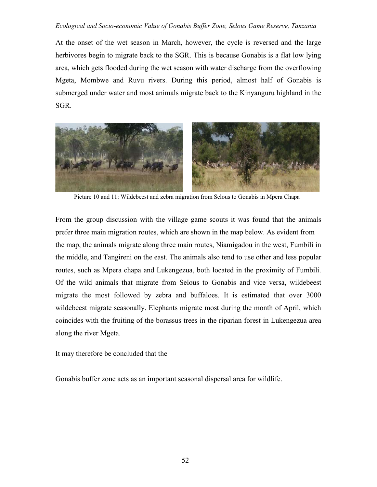At the onset of the wet season in March, however, the cycle is reversed and the large herbivores begin to migrate back to the SGR. This is because Gonabis is a flat low lying area, which gets flooded during the wet season with water discharge from the overflowing Mgeta, Mombwe and Ruvu rivers. During this period, almost half of Gonabis is submerged under water and most animals migrate back to the Kinyanguru highland in the SGR.



Picture 10 and 11: Wildebeest and zebra migration from Selous to Gonabis in Mpera Chapa

From the group discussion with the village game scouts it was found that the animals prefer three main migration routes, which are shown in the map below. As evident from the map, the animals migrate along three main routes, Niamigadou in the west, Fumbili in the middle, and Tangireni on the east. The animals also tend to use other and less popular routes, such as Mpera chapa and Lukengezua, both located in the proximity of Fumbili. Of the wild animals that migrate from Selous to Gonabis and vice versa, wildebeest migrate the most followed by zebra and buffaloes. It is estimated that over 3000 wildebeest migrate seasonally. Elephants migrate most during the month of April, which coincides with the fruiting of the borassus trees in the riparian forest in Lukengezua area along the river Mgeta.

It may therefore be concluded that the

Gonabis buffer zone acts as an important seasonal dispersal area for wildlife.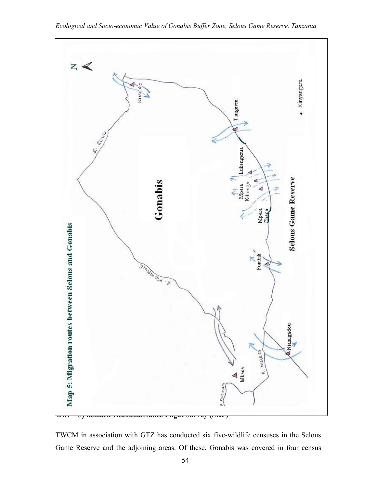

*Ecological and Socio-economic Value of Gonabis Buffer Zone, Selous Game Reserve, Tanzania*

TWCM in association with GTZ has conducted six five-wildlife censuses in the Selous Game Reserve and the adjoining areas. Of these, Gonabis was covered in four census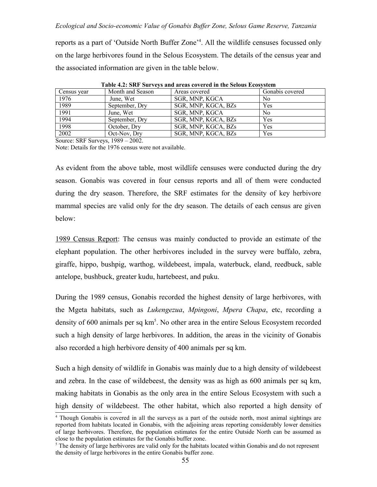reports as a part of 'Outside North Buffer Zone<sup>34</sup>. All the wildlife censuses focussed only on the large herbivores found in the Selous Ecosystem. The details of the census year and the associated information are given in the table below.

| Census year | Month and Season | Areas covered       | Gonabis covered |
|-------------|------------------|---------------------|-----------------|
| 1976        | June, Wet        | SGR, MNP, KGCA      | N <sub>0</sub>  |
| 1989        | September, Dry   | SGR, MNP, KGCA, BZs | Yes             |
| 1991        | June, Wet        | SGR, MNP, KGCA      | N <sub>0</sub>  |
| 1994        | September, Dry   | SGR, MNP, KGCA, BZs | Yes             |
| 1998        | October, Dry     | SGR, MNP, KGCA, BZs | Yes             |
| 2002        | Oct-Nov, Dry     | SGR, MNP, KGCA, BZs | Yes             |

**Table 4.2: SRF Surveys and areas covered in the Selous Ecosystem**

Source: SRF Surveys, 1989 – 2002.

Note: Details for the 1976 census were not available.

As evident from the above table, most wildlife censuses were conducted during the dry season. Gonabis was covered in four census reports and all of them were conducted during the dry season. Therefore, the SRF estimates for the density of key herbivore mammal species are valid only for the dry season. The details of each census are given below:

1989 Census Report: The census was mainly conducted to provide an estimate of the elephant population. The other herbivores included in the survey were buffalo, zebra, giraffe, hippo, bushpig, warthog, wildebeest, impala, waterbuck, eland, reedbuck, sable antelope, bushbuck, greater kudu, hartebeest, and puku.

During the 1989 census, Gonabis recorded the highest density of large herbivores, with the Mgeta habitats, such as *Lukengezua*, *Mpingoni*, *Mpera Chapa*, etc, recording a density of 600 animals per sq km<sup>5</sup>. No other area in the entire Selous Ecosystem recorded such a high density of large herbivores. In addition, the areas in the vicinity of Gonabis also recorded a high herbivore density of 400 animals per sq km.

Such a high density of wildlife in Gonabis was mainly due to a high density of wildebeest and zebra. In the case of wildebeest, the density was as high as 600 animals per sq km, making habitats in Gonabis as the only area in the entire Selous Ecosystem with such a high density of wildebeest. The other habitat, which also reported a high density of

<sup>4</sup> Though Gonabis is covered in all the surveys as a part of the outside north, most animal sightings are reported from habitats located in Gonabis, with the adjoining areas reporting considerably lower densities of large herbivores. Therefore, the population estimates for the entire Outside North can be assumed as close to the population estimates for the Gonabis buffer zone.

<sup>&</sup>lt;sup>5</sup> The density of large herbivores are valid only for the habitats located within Gonabis and do not represent the density of large herbivores in the entire Gonabis buffer zone.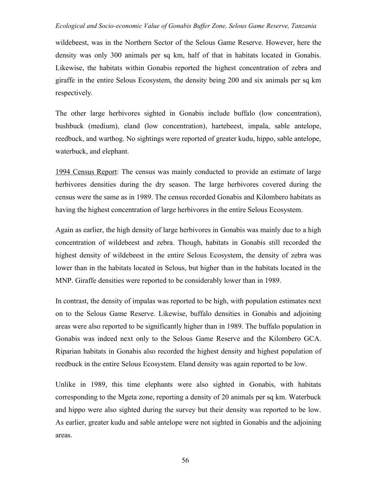wildebeest, was in the Northern Sector of the Selous Game Reserve. However, here the density was only 300 animals per sq km, half of that in habitats located in Gonabis. Likewise, the habitats within Gonabis reported the highest concentration of zebra and giraffe in the entire Selous Ecosystem, the density being 200 and six animals per sq km respectively.

The other large herbivores sighted in Gonabis include buffalo (low concentration), bushbuck (medium), eland (low concentration), hartebeest, impala, sable antelope, reedbuck, and warthog. No sightings were reported of greater kudu, hippo, sable antelope, waterbuck, and elephant.

1994 Census Report: The census was mainly conducted to provide an estimate of large herbivores densities during the dry season. The large herbivores covered during the census were the same as in 1989. The census recorded Gonabis and Kilombero habitats as having the highest concentration of large herbivores in the entire Selous Ecosystem.

Again as earlier, the high density of large herbivores in Gonabis was mainly due to a high concentration of wildebeest and zebra. Though, habitats in Gonabis still recorded the highest density of wildebeest in the entire Selous Ecosystem, the density of zebra was lower than in the habitats located in Selous, but higher than in the habitats located in the MNP. Giraffe densities were reported to be considerably lower than in 1989.

In contrast, the density of impalas was reported to be high, with population estimates next on to the Selous Game Reserve. Likewise, buffalo densities in Gonabis and adjoining areas were also reported to be significantly higher than in 1989. The buffalo population in Gonabis was indeed next only to the Selous Game Reserve and the Kilombero GCA. Riparian habitats in Gonabis also recorded the highest density and highest population of reedbuck in the entire Selous Ecosystem. Eland density was again reported to be low.

Unlike in 1989, this time elephants were also sighted in Gonabis, with habitats corresponding to the Mgeta zone, reporting a density of 20 animals per sq km. Waterbuck and hippo were also sighted during the survey but their density was reported to be low. As earlier, greater kudu and sable antelope were not sighted in Gonabis and the adjoining areas.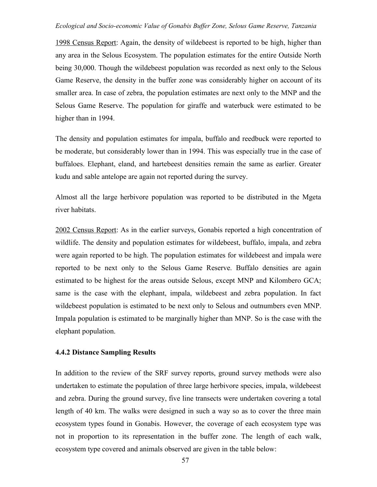1998 Census Report: Again, the density of wildebeest is reported to be high, higher than any area in the Selous Ecosystem. The population estimates for the entire Outside North being 30,000. Though the wildebeest population was recorded as next only to the Selous Game Reserve, the density in the buffer zone was considerably higher on account of its smaller area. In case of zebra, the population estimates are next only to the MNP and the Selous Game Reserve. The population for giraffe and waterbuck were estimated to be higher than in 1994.

The density and population estimates for impala, buffalo and reedbuck were reported to be moderate, but considerably lower than in 1994. This was especially true in the case of buffaloes. Elephant, eland, and hartebeest densities remain the same as earlier. Greater kudu and sable antelope are again not reported during the survey.

Almost all the large herbivore population was reported to be distributed in the Mgeta river habitats.

2002 Census Report: As in the earlier surveys, Gonabis reported a high concentration of wildlife. The density and population estimates for wildebeest, buffalo, impala, and zebra were again reported to be high. The population estimates for wildebeest and impala were reported to be next only to the Selous Game Reserve. Buffalo densities are again estimated to be highest for the areas outside Selous, except MNP and Kilombero GCA; same is the case with the elephant, impala, wildebeest and zebra population. In fact wildebeest population is estimated to be next only to Selous and outnumbers even MNP. Impala population is estimated to be marginally higher than MNP. So is the case with the elephant population.

### **4.4.2 Distance Sampling Results**

In addition to the review of the SRF survey reports, ground survey methods were also undertaken to estimate the population of three large herbivore species, impala, wildebeest and zebra. During the ground survey, five line transects were undertaken covering a total length of 40 km. The walks were designed in such a way so as to cover the three main ecosystem types found in Gonabis. However, the coverage of each ecosystem type was not in proportion to its representation in the buffer zone. The length of each walk, ecosystem type covered and animals observed are given in the table below: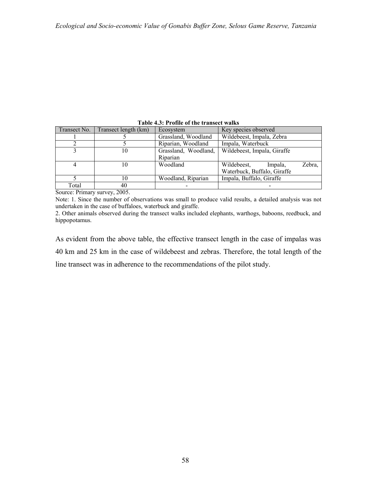| Table 4.5: Profile of the transect waiks |                                             |                      |                             |        |  |  |  |  |
|------------------------------------------|---------------------------------------------|----------------------|-----------------------------|--------|--|--|--|--|
| Transect No.                             | Transect length (km)                        | Ecosystem            | Key species observed        |        |  |  |  |  |
|                                          |                                             | Grassland, Woodland  | Wildebeest, Impala, Zebra   |        |  |  |  |  |
|                                          |                                             | Riparian, Woodland   | Impala, Waterbuck           |        |  |  |  |  |
|                                          | 10                                          | Grassland, Woodland, | Wildebeest, Impala, Giraffe |        |  |  |  |  |
|                                          |                                             | Riparian             |                             |        |  |  |  |  |
|                                          | 10                                          | Woodland             | Wildebeest,<br>Impala,      | Zebra, |  |  |  |  |
|                                          |                                             |                      | Waterbuck, Buffalo, Giraffe |        |  |  |  |  |
|                                          | 10                                          | Woodland, Riparian   | Impala, Buffalo, Giraffe    |        |  |  |  |  |
| Total                                    | 40                                          |                      |                             |        |  |  |  |  |
|                                          | $\alpha$ $\mathbf{n}$ $\mathbf{r}$<br>0.005 |                      |                             |        |  |  |  |  |

**Table 4.3: Profile of the transect walks**

Source: Primary survey, 2005.

Note: 1. Since the number of observations was small to produce valid results, a detailed analysis was not undertaken in the case of buffaloes, waterbuck and giraffe.

2. Other animals observed during the transect walks included elephants, warthogs, baboons, reedbuck, and hippopotamus.

As evident from the above table, the effective transect length in the case of impalas was 40 km and 25 km in the case of wildebeest and zebras. Therefore, the total length of the line transect was in adherence to the recommendations of the pilot study.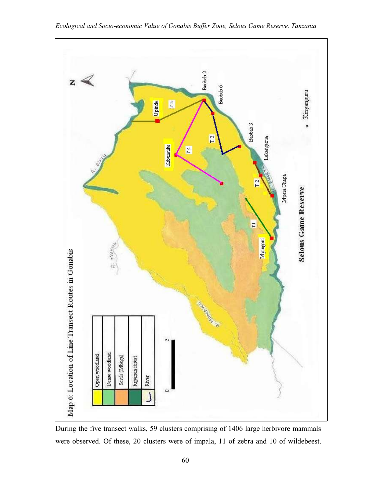

During the five transect walks, 59 clusters comprising of 1406 large herbivore mammals were observed. Of these, 20 clusters were of impala, 11 of zebra and 10 of wildebeest.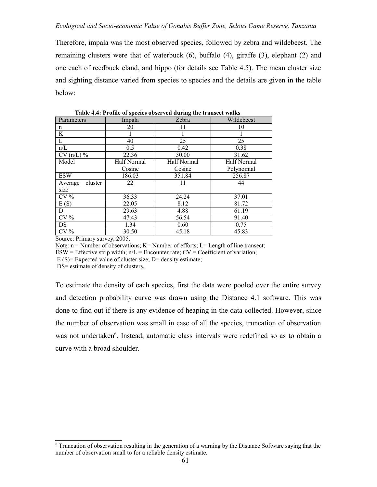Therefore, impala was the most observed species, followed by zebra and wildebeest. The remaining clusters were that of waterbuck (6), buffalo (4), giraffe (3), elephant (2) and one each of reedbuck eland, and hippo (for details see Table 4.5). The mean cluster size and sighting distance varied from species to species and the details are given in the table below:

| Parameters         | Impala      | Zebra       | Wildebeest  |
|--------------------|-------------|-------------|-------------|
| n                  | 20          | 11          | 10          |
| K                  |             |             |             |
| L                  | 40          | 25          | 25          |
| n/L                | 0.5         | 0.42        | 0.38        |
| $CV(n/L)$ %        | 22.36       | 30.00       | 31.62       |
| Model              | Half Normal | Half Normal | Half Normal |
|                    | Cosine      | Cosine      | Polynomial  |
| <b>ESW</b>         | 186.03      | 351.84      | 256.87      |
| cluster<br>Average | 22          | 11          | 44          |
| size               |             |             |             |
| $CV\%$             | 36.33       | 24.24       | 37.01       |
| E(S)               | 22.05       | 8.12        | 81.72       |
| D                  | 29.63       | 4.88        | 61.19       |
| $CV\%$             | 47.43       | 56.54       | 91.40       |
| DS                 | 1.34        | 0.60        | 0.75        |
| $CV\%$             | 30.50       | 45.18       | 45.83       |

 **Table 4.4: Profile of species observed during the transect walks**

Source: Primary survey, 2005.

Note:  $n =$  Number of observations;  $K =$  Number of efforts;  $L =$  Length of line transect;

 $ESW =$  Effective strip width;  $n/L =$  Encounter rate;  $CV =$  Coefficient of variation;

E  $(S)$ = Expected value of cluster size; D= density estimate;

DS= estimate of density of clusters.

To estimate the density of each species, first the data were pooled over the entire survey and detection probability curve was drawn using the Distance 4.1 software. This was done to find out if there is any evidence of heaping in the data collected. However, since the number of observation was small in case of all the species, truncation of observation was not undertaken<sup>6</sup>. Instead, automatic class intervals were redefined so as to obtain a curve with a broad shoulder.

<sup>&</sup>lt;sup>6</sup> Truncation of observation resulting in the generation of a warning by the Distance Software saying that the number of observation small to for a reliable density estimate.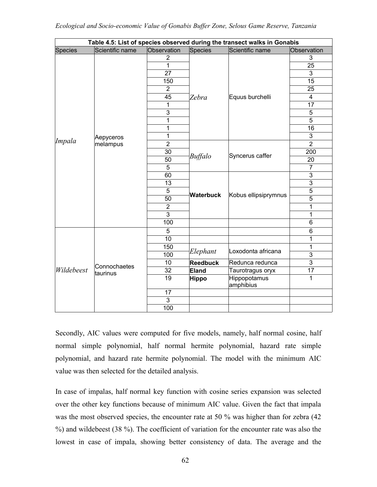|                | Table 4.5: List of species observed during the transect walks in Gonabis |                 |                  |                           |                         |  |  |  |
|----------------|--------------------------------------------------------------------------|-----------------|------------------|---------------------------|-------------------------|--|--|--|
| <b>Species</b> | Scientific name                                                          | Observation     | Species          | Scientific name           | Observation             |  |  |  |
|                |                                                                          | $\overline{2}$  |                  |                           | 3                       |  |  |  |
|                |                                                                          | $\mathbf{1}$    |                  |                           | 25                      |  |  |  |
|                |                                                                          | 27              |                  |                           | $\overline{3}$          |  |  |  |
|                |                                                                          | 150             |                  |                           | 15                      |  |  |  |
|                |                                                                          | $\overline{2}$  |                  |                           | 25                      |  |  |  |
|                |                                                                          | 45              | Zebra            | Equus burchelli           | $\overline{\mathbf{4}}$ |  |  |  |
|                |                                                                          | 1               |                  |                           | 17                      |  |  |  |
|                |                                                                          | 3               |                  |                           | 5                       |  |  |  |
|                |                                                                          | 1               |                  |                           | 5                       |  |  |  |
|                |                                                                          | 1               |                  |                           | 16                      |  |  |  |
|                | Aepyceros                                                                | $\overline{1}$  |                  |                           | 3                       |  |  |  |
| Impala         | melampus                                                                 | $\overline{2}$  |                  |                           | $\overline{2}$          |  |  |  |
|                |                                                                          | 30              | <b>Buffalo</b>   | Syncerus caffer           | 200                     |  |  |  |
|                |                                                                          | 50              |                  |                           | 20                      |  |  |  |
|                |                                                                          | 5               |                  |                           | $\overline{7}$          |  |  |  |
|                |                                                                          | 60              |                  |                           | 3                       |  |  |  |
|                |                                                                          | 13              | <b>Waterbuck</b> |                           | $\overline{3}$          |  |  |  |
|                |                                                                          | 5               |                  | Kobus ellipsiprymnus      | $\overline{5}$          |  |  |  |
|                |                                                                          | 50              |                  |                           | $\overline{5}$          |  |  |  |
|                |                                                                          | $\overline{2}$  |                  |                           | 1                       |  |  |  |
|                |                                                                          | 3               |                  |                           | 1                       |  |  |  |
|                |                                                                          | 100             |                  |                           | 6                       |  |  |  |
|                |                                                                          | 5               |                  |                           | 6                       |  |  |  |
|                |                                                                          | $\overline{10}$ |                  |                           | 1                       |  |  |  |
|                |                                                                          | 150             |                  |                           | 1                       |  |  |  |
|                |                                                                          | 100             | Elephant         | Loxodonta africana        | $\overline{3}$          |  |  |  |
|                | Connochaetes                                                             | 10              | <b>Reedbuck</b>  | Redunca redunca           | $\overline{3}$          |  |  |  |
| Wildebeest     | taurinus                                                                 | 32              | <b>Eland</b>     | Taurotragus oryx          | 17                      |  |  |  |
|                |                                                                          | 19              | <b>Hippo</b>     | Hippopotamus<br>amphibius | 1                       |  |  |  |
|                |                                                                          | 17              |                  |                           |                         |  |  |  |
|                |                                                                          | 3               |                  |                           |                         |  |  |  |
|                |                                                                          | 100             |                  |                           |                         |  |  |  |

Secondly, AIC values were computed for five models, namely, half normal cosine, half normal simple polynomial, half normal hermite polynomial, hazard rate simple polynomial, and hazard rate hermite polynomial. The model with the minimum AIC value was then selected for the detailed analysis.

In case of impalas, half normal key function with cosine series expansion was selected over the other key functions because of minimum AIC value. Given the fact that impala was the most observed species, the encounter rate at 50 % was higher than for zebra (42) %) and wildebeest (38 %). The coefficient of variation for the encounter rate was also the lowest in case of impala, showing better consistency of data. The average and the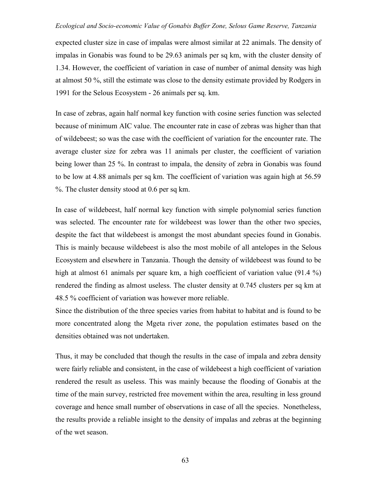expected cluster size in case of impalas were almost similar at 22 animals. The density of impalas in Gonabis was found to be 29.63 animals per sq km, with the cluster density of 1.34. However, the coefficient of variation in case of number of animal density was high at almost 50 %, still the estimate was close to the density estimate provided by Rodgers in 1991 for the Selous Ecosystem - 26 animals per sq. km.

In case of zebras, again half normal key function with cosine series function was selected because of minimum AIC value. The encounter rate in case of zebras was higher than that of wildebeest; so was the case with the coefficient of variation for the encounter rate. The average cluster size for zebra was 11 animals per cluster, the coefficient of variation being lower than 25 %. In contrast to impala, the density of zebra in Gonabis was found to be low at 4.88 animals per sq km. The coefficient of variation was again high at 56.59 %. The cluster density stood at 0.6 per sq km.

In case of wildebeest, half normal key function with simple polynomial series function was selected. The encounter rate for wildebeest was lower than the other two species, despite the fact that wildebeest is amongst the most abundant species found in Gonabis. This is mainly because wildebeest is also the most mobile of all antelopes in the Selous Ecosystem and elsewhere in Tanzania. Though the density of wildebeest was found to be high at almost 61 animals per square km, a high coefficient of variation value (91.4 %) rendered the finding as almost useless. The cluster density at 0.745 clusters per sq km at 48.5 % coefficient of variation was however more reliable.

Since the distribution of the three species varies from habitat to habitat and is found to be more concentrated along the Mgeta river zone, the population estimates based on the densities obtained was not undertaken.

Thus, it may be concluded that though the results in the case of impala and zebra density were fairly reliable and consistent, in the case of wildebeest a high coefficient of variation rendered the result as useless. This was mainly because the flooding of Gonabis at the time of the main survey, restricted free movement within the area, resulting in less ground coverage and hence small number of observations in case of all the species. Nonetheless, the results provide a reliable insight to the density of impalas and zebras at the beginning of the wet season.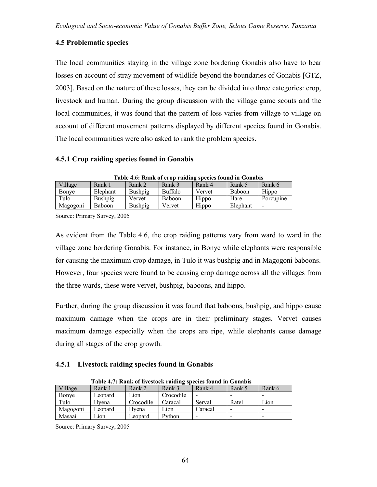# **4.5 Problematic species**

The local communities staying in the village zone bordering Gonabis also have to bear losses on account of stray movement of wildlife beyond the boundaries of Gonabis [GTZ, 2003]. Based on the nature of these losses, they can be divided into three categories: crop, livestock and human. During the group discussion with the village game scouts and the local communities, it was found that the pattern of loss varies from village to village on account of different movement patterns displayed by different species found in Gonabis. The local communities were also asked to rank the problem species.

## **4.5.1 Crop raiding species found in Gonabis**

|          | Table 4.0. INALIK 01 CTUD FARRILLE SDECIES TOUTH III WOLLADIS |         |         |        |          |                          |  |
|----------|---------------------------------------------------------------|---------|---------|--------|----------|--------------------------|--|
| Village  | Rank 1                                                        | Rank 2  | Rank 3  | Rank 4 | Rank 5   | Rank 6                   |  |
| Bonye    | Elephant                                                      | Bushpig | Buffalo | Vervet | Baboon   | Hippo                    |  |
| Tulo     | Bushpig                                                       | Vervet  | Baboon  | Hippo  | Hare     | Porcupine                |  |
| Magogoni | <b>Baboon</b>                                                 | Bushpig | Vervet  | Hippo  | Elephant | $\overline{\phantom{a}}$ |  |

**Table 4.6: Rank of crop raiding species found in Gonabis**

Source: Primary Survey, 2005

As evident from the Table 4.6, the crop raiding patterns vary from ward to ward in the village zone bordering Gonabis. For instance, in Bonye while elephants were responsible for causing the maximum crop damage, in Tulo it was bushpig and in Magogoni baboons. However, four species were found to be causing crop damage across all the villages from the three wards, these were vervet, bushpig, baboons, and hippo.

Further, during the group discussion it was found that baboons, bushpig, and hippo cause maximum damage when the crops are in their preliminary stages. Vervet causes maximum damage especially when the crops are ripe, while elephants cause damage during all stages of the crop growth.

## **4.5.1 Livestock raiding species found in Gonabis**

| Table 4.7: Rank of livestock raiding species found in Gonabis |         |                              |           |         |        |        |  |  |
|---------------------------------------------------------------|---------|------------------------------|-----------|---------|--------|--------|--|--|
| Village                                                       | Rank 1  | Rank 2                       | Rank 3    | Rank 4  | Rank 5 | Rank 6 |  |  |
| Bonye                                                         | Leopard | $\mathsf{L}$ 10 $\mathsf{n}$ | Crocodile |         |        |        |  |  |
| Tulo                                                          | Hvena   | Crocodile                    | Caracal   | Serval  | Ratel  | Lion   |  |  |
| Magogoni                                                      | Leopard | Hvena                        | Lion      | Caracal |        |        |  |  |
| Masaai                                                        | Lion    | Leopard                      | Python    |         |        |        |  |  |

 **Table 4.7: Rank of livestock raiding species found in Gonabis**

Source: Primary Survey, 2005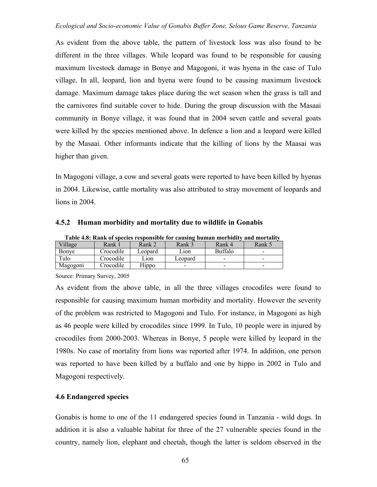As evident from the above table, the pattern of livestock loss was also found to be different in the three villages. While leopard was found to be responsible for causing maximum livestock damage in Bonye and Magogoni, it was hyena in the case of Tulo village. In all, leopard, lion and hyena were found to be causing maximum livestock damage. Maximum damage takes place during the wet season when the grass is tall and the carnivores find suitable cover to hide. During the group discussion with the Masaai community in Bonye village, it was found that in 2004 seven cattle and several goats were killed by the species mentioned above. In defence a lion and a leopard were killed by the Masaai. Other informants indicate that the killing of lions by the Maasai was higher than given.

In Magogoni village, a cow and several goats were reported to have been killed by hyenas in 2004. Likewise, cattle mortality was also attributed to stray movement of leopards and lions in 2004.

| Table 4.8: Rank of species responsible for causing human morbidity and mortality |           |         |                          |                          |        |  |  |
|----------------------------------------------------------------------------------|-----------|---------|--------------------------|--------------------------|--------|--|--|
| Village                                                                          | Rank 1    | Rank 2  | Rank 3                   | Rank 4                   | Rank 5 |  |  |
| Bonye                                                                            | Crocodile | Leopard | Lion                     | <b>Buffalo</b>           |        |  |  |
| Tulo                                                                             | Crocodile | Lion    | Leopard                  | $\overline{\phantom{0}}$ | -      |  |  |
| Magogoni                                                                         | Crocodile | Hippo   | $\overline{\phantom{0}}$ | $\overline{\phantom{0}}$ |        |  |  |

**4.5.2 Human morbidity and mortality due to wildlife in Gonabis**

Source: Primary Survey, 2005

As evident from the above table, in all the three villages crocodiles were found to responsible for causing maximum human morbidity and mortality. However the severity of the problem was restricted to Magogoni and Tulo. For instance, in Magogoni as high as 46 people were killed by crocodiles since 1999. In Tulo, 10 people were in injured by crocodiles from 2000-2003. Whereas in Bonye, 5 people were killed by leopard in the 1980s. No case of mortality from lions was reported after 1974. In addition, one person was reported to have been killed by a buffalo and one by hippo in 2002 in Tulo and Magogoni respectively.

## **4.6 Endangered species**

Gonabis is home to one of the 11 endangered species found in Tanzania - wild dogs. In addition it is also a valuable habitat for three of the 27 vulnerable species found in the country, namely lion, elephant and cheetah, though the latter is seldom observed in the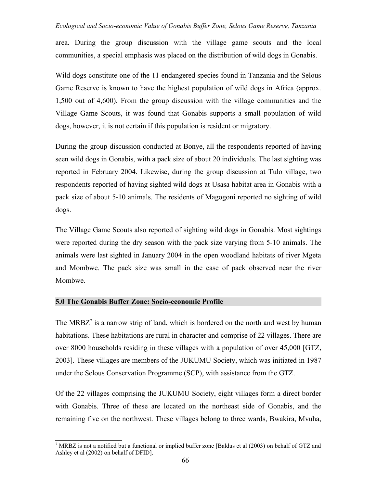area. During the group discussion with the village game scouts and the local communities, a special emphasis was placed on the distribution of wild dogs in Gonabis.

Wild dogs constitute one of the 11 endangered species found in Tanzania and the Selous Game Reserve is known to have the highest population of wild dogs in Africa (approx. 1,500 out of 4,600). From the group discussion with the village communities and the Village Game Scouts, it was found that Gonabis supports a small population of wild dogs, however, it is not certain if this population is resident or migratory.

During the group discussion conducted at Bonye, all the respondents reported of having seen wild dogs in Gonabis, with a pack size of about 20 individuals. The last sighting was reported in February 2004. Likewise, during the group discussion at Tulo village, two respondents reported of having sighted wild dogs at Usasa habitat area in Gonabis with a pack size of about 5-10 animals. The residents of Magogoni reported no sighting of wild dogs.

The Village Game Scouts also reported of sighting wild dogs in Gonabis. Most sightings were reported during the dry season with the pack size varying from 5-10 animals. The animals were last sighted in January 2004 in the open woodland habitats of river Mgeta and Mombwe. The pack size was small in the case of pack observed near the river Mombwe.

## **5.0 The Gonabis Buffer Zone: Socio-economic Profile**

The MRBZ<sup> $7$ </sup> is a narrow strip of land, which is bordered on the north and west by human habitations. These habitations are rural in character and comprise of 22 villages. There are over 8000 households residing in these villages with a population of over 45,000 [GTZ, 2003]. These villages are members of the JUKUMU Society, which was initiated in 1987 under the Selous Conservation Programme (SCP), with assistance from the GTZ.

Of the 22 villages comprising the JUKUMU Society, eight villages form a direct border with Gonabis. Three of these are located on the northeast side of Gonabis, and the remaining five on the northwest. These villages belong to three wards, Bwakira, Mvuha,

<sup>7</sup> MRBZ is not a notified but a functional or implied buffer zone [Baldus et al (2003) on behalf of GTZ and Ashley et al (2002) on behalf of DFID].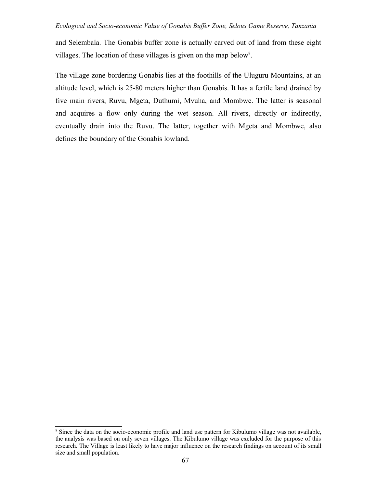and Selembala. The Gonabis buffer zone is actually carved out of land from these eight villages. The location of these villages is given on the map below<sup>8</sup>.

The village zone bordering Gonabis lies at the foothills of the Uluguru Mountains, at an altitude level, which is 25-80 meters higher than Gonabis. It has a fertile land drained by five main rivers, Ruvu, Mgeta, Duthumi, Mvuha, and Mombwe. The latter is seasonal and acquires a flow only during the wet season. All rivers, directly or indirectly, eventually drain into the Ruvu. The latter, together with Mgeta and Mombwe, also defines the boundary of the Gonabis lowland.

<sup>&</sup>lt;sup>8</sup> Since the data on the socio-economic profile and land use pattern for Kibulumo village was not available, the analysis was based on only seven villages. The Kibulumo village was excluded for the purpose of this research. The Village is least likely to have major influence on the research findings on account of its small size and small population.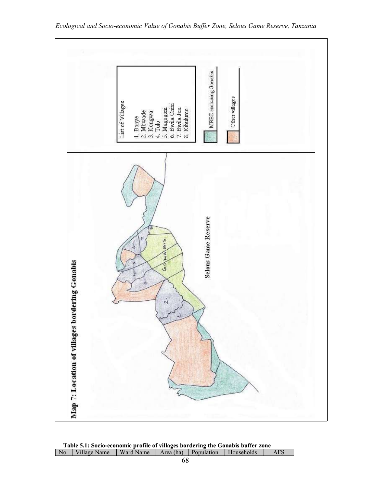

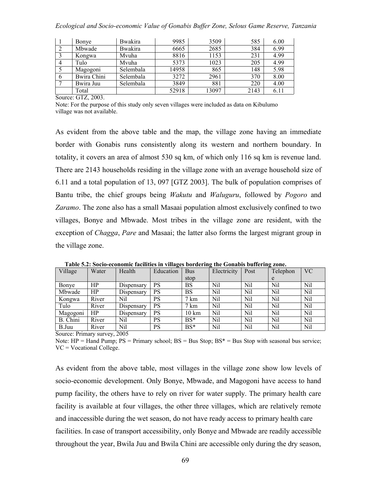|   | Bonye       | <b>Bwakira</b> | 9985  | 3509  | 585  | 6.00 |
|---|-------------|----------------|-------|-------|------|------|
|   | Mbwade      | <b>Bwakira</b> | 6665  | 2685  | 384  | 6.99 |
|   | Kongwa      | Mvuha          | 8816  | 1153  | 231  | 4.99 |
|   | Tulo        | Mvuha          | 5373  | 1023  | 205  | 4.99 |
|   | Magogoni    | Selembala      | 14958 | 865   | 148  | 5.98 |
| 6 | Bwira Chini | Selembala      | 3272  | 2961  | 370  | 8.00 |
|   | Bwira Juu   | Selembala      | 3849  | 881   | 220  | 4.00 |
|   | Total       |                | 52918 | 13097 | 2143 | 6.11 |

Source: GTZ, 2003.

Note: For the purpose of this study only seven villages were included as data on Kibulumo village was not available.

As evident from the above table and the map, the village zone having an immediate border with Gonabis runs consistently along its western and northern boundary. In totality, it covers an area of almost 530 sq km, of which only 116 sq km is revenue land. There are 2143 households residing in the village zone with an average household size of 6.11 and a total population of 13, 097 [GTZ 2003]. The bulk of population comprises of Bantu tribe, the chief groups being *Wakutu* and *Waluguru*, followed by *Pogoro* and *Zaramo*. The zone also has a small Masaai population almost exclusively confined to two villages, Bonye and Mbwade. Most tribes in the village zone are resident, with the exception of *Chagga*, *Pare* and Masaai; the latter also forms the largest migrant group in the village zone.

| Village  | Water | Health     | Education | <b>Bus</b>      | Electricity | Post | Telephon | <b>VC</b> |
|----------|-------|------------|-----------|-----------------|-------------|------|----------|-----------|
|          |       |            |           | stop            |             |      | e        |           |
| Bonye    | HP    | Dispensary | PS        | <b>BS</b>       | Nil         | Nil  | Nil      | Nil       |
| Mbwade   | HP    | Dispensary | <b>PS</b> | <b>BS</b>       | Nil         | Nil  | Nil      | Nil       |
| Kongwa   | River | Nil        | PS        | $7 \text{ km}$  | Nil         | Nil  | Nil      | Nil       |
| Tulo     | River | Dispensary | <b>PS</b> | $7 \text{ km}$  | Nil         | Nil  | Nil      | Nil       |
| Magogoni | HP    | Dispensary | PS        | $10 \text{ km}$ | Nil         | Nil  | Nil      | Nil       |
| B. Chini | River | Nil        | PS        | $BS*$           | Nil         | Nil  | Nil      | Nil       |
| B.Juu    | River | Nil        | PS        | $BS*$           | Nil         | Nil  | Nil      | Nil       |

 **Table 5.2: Socio-economic facilities in villages bordering the Gonabis buffering zone.**

Source: Primary survey, 2005

Note:  $HP =$  Hand Pump;  $PS =$  Primary school;  $BS =$  Bus Stop;  $BS^* =$  Bus Stop with seasonal bus service; VC = Vocational College.

As evident from the above table, most villages in the village zone show low levels of socio-economic development. Only Bonye, Mbwade, and Magogoni have access to hand pump facility, the others have to rely on river for water supply. The primary health care facility is available at four villages, the other three villages, which are relatively remote and inaccessible during the wet season, do not have ready access to primary health care facilities. In case of transport accessibility, only Bonye and Mbwade are readily accessible throughout the year, Bwila Juu and Bwila Chini are accessible only during the dry season,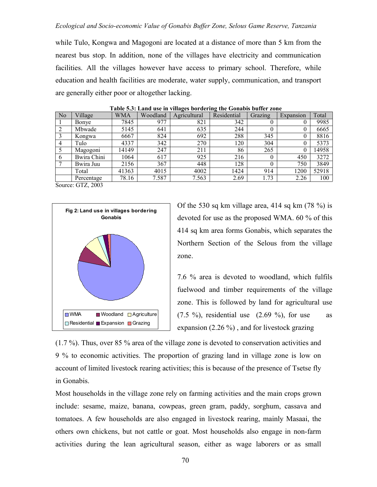while Tulo, Kongwa and Magogoni are located at a distance of more than 5 km from the nearest bus stop. In addition, none of the villages have electricity and communication facilities. All the villages however have access to primary school. Therefore, while education and health facilities are moderate, water supply, communication, and transport are generally either poor or altogether lacking.

| No             | Village     | WMA   | Woodland | Agricultural | Residential | Grazing  | Expansion | Total |
|----------------|-------------|-------|----------|--------------|-------------|----------|-----------|-------|
|                | Bonye       | 7845  | 977      | 821          | 342         | $\theta$ |           | 9985  |
|                | Mbwade      | 5145  | 641      | 635          | 244         | $\theta$ | $\theta$  | 6665  |
|                | Kongwa      | 6667  | 824      | 692          | 288         | 345      |           | 8816  |
| $\overline{4}$ | Tulo        | 4337  | 342      | 270          | 120         | 304      |           | 5373  |
|                | Magogoni    | 14149 | 247      | 211          | 86          | 265      |           | 14958 |
| 6              | Bwira Chini | 1064  | 617      | 925          | 216         | $\theta$ | 450       | 3272  |
|                | Bwira Juu   | 2156  | 367      | 448          | 128         | $\theta$ | 750       | 3849  |
|                | Total       | 41363 | 4015     | 4002         | 1424        | 914      | 1200      | 52918 |
|                | Percentage  | 78.16 | 7.587    | 7.563        | 2.69        | 1.73     | 2.26      | 100   |

 **Table 5.3: Land use in villages bordering the Gonabis buffer zone**

Source: GTZ, 2003



Of the 530 sq km village area, 414 sq km  $(78\%)$  is devoted for use as the proposed WMA. 60 % of this 414 sq km area forms Gonabis, which separates the Northern Section of the Selous from the village zone.

7.6 % area is devoted to woodland, which fulfils fuelwood and timber requirements of the village zone. This is followed by land for agricultural use  $(7.5 \%)$ , residential use  $(2.69 \%)$ , for use as expansion (2.26 %) , and for livestock grazing

(1.7 %). Thus, over 85 % area of the village zone is devoted to conservation activities and 9 % to economic activities. The proportion of grazing land in village zone is low on account of limited livestock rearing activities; this is because of the presence of Tsetse fly in Gonabis.

Most households in the village zone rely on farming activities and the main crops grown include: sesame, maize, banana, cowpeas, green gram, paddy, sorghum, cassava and tomatoes. A few households are also engaged in livestock rearing, mainly Masaai, the others own chickens, but not cattle or goat. Most households also engage in non-farm activities during the lean agricultural season, either as wage laborers or as small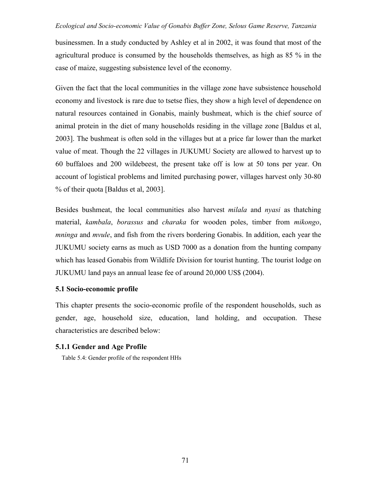businessmen. In a study conducted by Ashley et al in 2002, it was found that most of the agricultural produce is consumed by the households themselves, as high as 85 % in the case of maize, suggesting subsistence level of the economy.

Given the fact that the local communities in the village zone have subsistence household economy and livestock is rare due to tsetse flies, they show a high level of dependence on natural resources contained in Gonabis, mainly bushmeat, which is the chief source of animal protein in the diet of many households residing in the village zone [Baldus et al, 2003]. The bushmeat is often sold in the villages but at a price far lower than the market value of meat. Though the 22 villages in JUKUMU Society are allowed to harvest up to 60 buffaloes and 200 wildebeest, the present take off is low at 50 tons per year. On account of logistical problems and limited purchasing power, villages harvest only 30-80 % of their quota [Baldus et al, 2003].

Besides bushmeat, the local communities also harvest *milala* and *nyasi* as thatching material, *kambala*, *borassus* and *charaka* for wooden poles, timber from *mikongo*, *mninga* and *mvule*, and fish from the rivers bordering Gonabis. In addition, each year the JUKUMU society earns as much as USD 7000 as a donation from the hunting company which has leased Gonabis from Wildlife Division for tourist hunting. The tourist lodge on JUKUMU land pays an annual lease fee of around 20,000 US\$ (2004).

## **5.1 Socio-economic profile**

This chapter presents the socio-economic profile of the respondent households, such as gender, age, household size, education, land holding, and occupation. These characteristics are described below:

# **5.1.1 Gender and Age Profile**

Table 5.4: Gender profile of the respondent HHs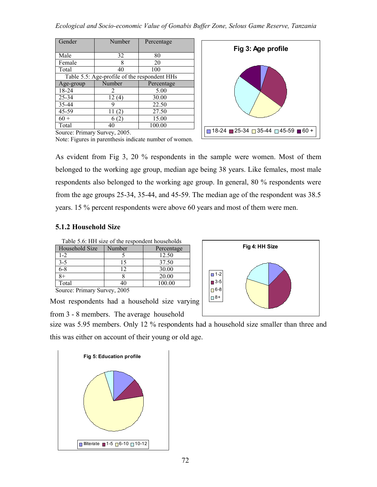| Number                                       | Percentage                                  |  |  |  |  |
|----------------------------------------------|---------------------------------------------|--|--|--|--|
|                                              |                                             |  |  |  |  |
|                                              | 80                                          |  |  |  |  |
| 8                                            | 20                                          |  |  |  |  |
| 40                                           | 100                                         |  |  |  |  |
| Table 5.5: Age-profile of the respondent HHs |                                             |  |  |  |  |
| Number                                       | Percentage                                  |  |  |  |  |
| 2                                            | 5.00                                        |  |  |  |  |
| 12(4)                                        | 30.00                                       |  |  |  |  |
| g                                            | 22.50                                       |  |  |  |  |
| 11<br>(2                                     | 27.50                                       |  |  |  |  |
| (2)<br>6                                     | 15.00                                       |  |  |  |  |
| 40                                           | 100.00                                      |  |  |  |  |
|                                              | 32<br>$\sim$<br>$\sim$ $\sim$ $\sim$ $\sim$ |  |  |  |  |



Source: Primary Survey, 2005. Note: Figures in parenthesis indicate number of women.

As evident from Fig 3, 20 % respondents in the sample were women. Most of them belonged to the working age group, median age being 38 years. Like females, most male respondents also belonged to the working age group. In general, 80 % respondents were from the age groups 25-34, 35-44, and 45-59. The median age of the respondent was 38.5 years. 15 % percent respondents were above 60 years and most of them were men.

# **5.1.2 Household Size**

| Table 5.6: HH size of the respondent households |        |            |  |  |  |  |
|-------------------------------------------------|--------|------------|--|--|--|--|
| Household Size                                  | Number | Percentage |  |  |  |  |
| $1 - 2$                                         |        | 12.50      |  |  |  |  |
| $3 - 5$                                         | 15     | 37.50      |  |  |  |  |
| $6 - 8$                                         | 12     | 30.00      |  |  |  |  |
| $8+$                                            |        | 20.00      |  |  |  |  |
| Total                                           | 40     | 100.00     |  |  |  |  |
| Course Drimson, Current 2005                    |        |            |  |  |  |  |

Source: Primary Survey, 2005

Most respondents had a household size varying

from 3 - 8 members. The average household

this was either on account of their young or old age. size was 5.95 members. Only 12 % respondents had a household size smaller than three and



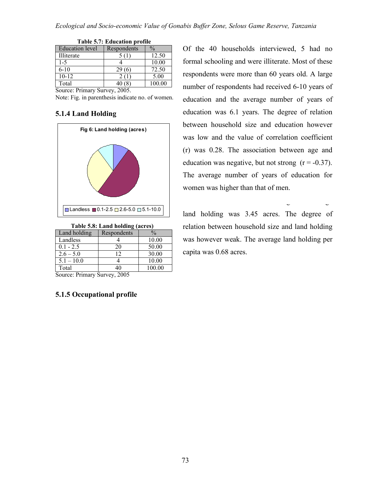| <b>Table 5.7: Education profile</b> |                              |               |  |  |
|-------------------------------------|------------------------------|---------------|--|--|
| <b>Education</b> level              | Respondents                  | $\frac{0}{0}$ |  |  |
| Illiterate                          | 5(1)                         | 12.50         |  |  |
| $1-5$                               |                              | 10.00         |  |  |
| $6-10$                              | 29(6)                        | 72.50         |  |  |
| $10 - 12$                           | 2(1)                         | 5.00          |  |  |
| Total                               | 40(8)                        | 100.00        |  |  |
| n ·<br>$\sim$                       | $\bigcap_{n \in \mathbb{N}}$ |               |  |  |

Source: Primary Survey, 2005.

 **Table 5.7: Education profile**

Note: Fig. in parenthesis indicate no. of women.

### **5.1.4 Land Holding**



 **Table 5.8: Land holding (acres)**

| Land holding | Respondents | $\frac{0}{0}$ |
|--------------|-------------|---------------|
| Landless     |             | 10.00         |
| $0.1 - 2.5$  | 20          | 50.00         |
| $2.6 - 5.0$  | 12          | 30.00         |
| $5.1 - 10.0$ |             | 10.00         |
| Total        |             | 100.00        |

Source: Primary Survey, 2005

# **5.1.5 Occupational profile**

between household size and education however was low and the value of correlation coefficient (r) was 0.28. The association between age and education was negative, but not strong  $(r = -0.37)$ . The average number of years of education for women was higher than that of men. Of the 40 households interviewed, 5 had no formal schooling and were illiterate. Most of these respondents were more than 60 years old. A large number of respondents had received 6-10 years of education and the average number of years of education was 6.1 years. The degree of relation

land holding was 3.45 acres. The degree of relation between household size and land holding was however weak. The average land holding per capita was 0.68 acres.

farmers with medium land holding. The average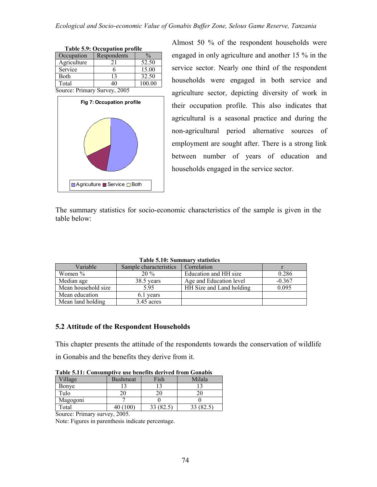| <b>Table 5.9: Occupation profile</b> |             |               |  |  |
|--------------------------------------|-------------|---------------|--|--|
| Occupation                           | Respondents | $\frac{0}{0}$ |  |  |
| Agriculture                          | 21          | 52.50         |  |  |
| Service                              |             | 15.00         |  |  |
| Both                                 | 13          | 32.50         |  |  |
| Total                                | 40          | 100.00        |  |  |
| Source: Primary Survey, 2005         |             |               |  |  |



Almost 50 % of the respondent households were engaged in only agriculture and another 15 % in the service sector. Nearly one third of the respondent households were engaged in both service and agriculture sector, depicting diversity of work in their occupation profile. This also indicates that agricultural is a seasonal practice and during the non-agricultural period alternative sources of employment are sought after. There is a strong link between number of years of education and households engaged in the service sector.

The summary statistics for socio-economic characteristics of the sample is given in the table below:

|                     | Table 9.19. Buhingt v statistics |                          |          |
|---------------------|----------------------------------|--------------------------|----------|
| Variable            | Sample characteristics           | Correlation              |          |
| Women $\%$          | $20\%$                           | Education and HH size    | 0.286    |
| Median age          | 38.5 years                       | Age and Education level  | $-0.367$ |
| Mean household size | 5.95                             | HH Size and Land holding | 0.095    |
| Mean education      | 6.1 years                        |                          |          |
| Mean land holding   | 3.45 acres                       |                          |          |

 **Table 5.10: Summary statistics**

# **5.2 Attitude of the Respondent Households**

This chapter presents the attitude of the respondents towards the conservation of wildlife in Gonabis and the benefits they derive from it.

| Table 3.11. Consumptive use benefits uctived if only Gonabis |          |      |        |  |
|--------------------------------------------------------------|----------|------|--------|--|
| Village                                                      | Bushmeat | Fish | Milala |  |
| Bonye                                                        |          |      |        |  |
| Tulo                                                         |          |      |        |  |
| Magogoni                                                     |          |      |        |  |
| Total                                                        |          |      |        |  |

**Table 5.11: Consumptive use benefits derived from Gonabis**

Source: Primary survey, 2005.

Note: Figures in parenthesis indicate percentage.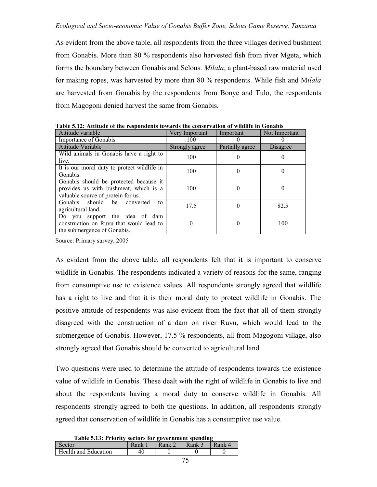As evident from the above table, all respondents from the three villages derived bushmeat from Gonabis. More than 80 % respondents also harvested fish from river Mgeta, which forms the boundary between Gonabis and Selous. *Milala*, a plant-based raw material used for making ropes, was harvested by more than 80 % respondents. While fish and M*ilala* are harvested from Gonabis by the respondents from Bonye and Tulo, the respondents from Magogoni denied harvest the same from Gonabis.

| Attitude variable                           | Very Important | Important       | Not Important   |
|---------------------------------------------|----------------|-----------------|-----------------|
| Importance of Gonabis                       | 100            |                 | $\theta$        |
| Attitude Variable                           | Strongly agree | Partially agree | <b>Disagree</b> |
| Wild animals in Gonabis have a right to     | 100            |                 | 0               |
| live.                                       |                |                 |                 |
| It is our moral duty to protect wildlife in | 100            | 0               | 0               |
| Gonabis.                                    |                |                 |                 |
| Gonabis should be protected because it      |                |                 |                 |
| provides us with bushmeat, which is a       | 100            |                 | 0               |
| valuable source of protein for us.          |                |                 |                 |
| Gonabis should be converted<br>to           | 17.5           |                 | 82.5            |
| agricultural land.                          |                |                 |                 |
| Do you support the idea of dam              |                |                 |                 |
| construction on Ruvu that would lead to     | 0              |                 | 100             |
| the submergence of Gonabis.                 |                |                 |                 |

**Table 5.12: Attitude of the respondents towards the conservation of wildlife in Gonabis**

Source: Primary survey, 2005

As evident from the above table, all respondents felt that it is important to conserve wildlife in Gonabis. The respondents indicated a variety of reasons for the same, ranging from consumptive use to existence values. All respondents strongly agreed that wildlife has a right to live and that it is their moral duty to protect wildlife in Gonabis. The positive attitude of respondents was also evident from the fact that all of them strongly disagreed with the construction of a dam on river Ruvu, which would lead to the submergence of Gonabis. However, 17.5 % respondents, all from Magogoni village, also strongly agreed that Gonabis should be converted to agricultural land.

Two questions were used to determine the attitude of respondents towards the existence value of wildlife in Gonabis. These dealt with the right of wildlife in Gonabis to live and about the respondents having a moral duty to conserve wildlife in Gonabis. All respondents strongly agreed to both the questions. In addition, all respondents strongly agreed that conservation of wildlife in Gonabis has a consumptive use value.

| Table 5.13: Priority sectors for government spending |  |  |
|------------------------------------------------------|--|--|
|                                                      |  |  |

| Sector               | Rank. | Rank | <b>Rank</b> | <b>Rank</b> |
|----------------------|-------|------|-------------|-------------|
| Health and Education | -46   |      |             |             |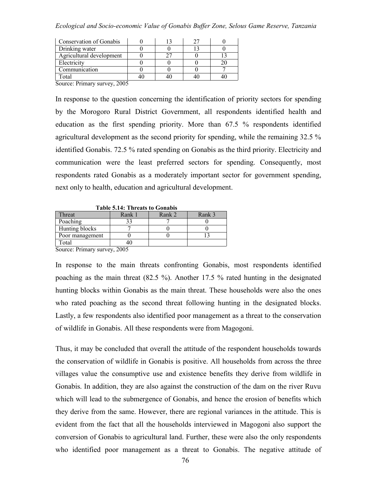| Conservation of Gonabis                          |  |  |
|--------------------------------------------------|--|--|
| Drinking water                                   |  |  |
| Agricultural development                         |  |  |
| Electricity                                      |  |  |
| Communication                                    |  |  |
| `otal                                            |  |  |
| $\mathbf{r}$ .<br>$\sim$ $\sim$ $\sim$<br>$\sim$ |  |  |

Source: Primary survey, 2005

In response to the question concerning the identification of priority sectors for spending by the Morogoro Rural District Government, all respondents identified health and education as the first spending priority. More than 67.5 % respondents identified agricultural development as the second priority for spending, while the remaining 32.5 % identified Gonabis. 72.5 % rated spending on Gonabis as the third priority. Electricity and communication were the least preferred sectors for spending. Consequently, most respondents rated Gonabis as a moderately important sector for government spending, next only to health, education and agricultural development.

| Table 3.14. The cats to Gonabis |         |        |        |  |  |  |
|---------------------------------|---------|--------|--------|--|--|--|
| Threat                          | Rank 1  | Rank 2 | Rank 3 |  |  |  |
| Poaching                        | วว      |        |        |  |  |  |
| Hunting blocks                  |         |        |        |  |  |  |
| Poor management                 |         |        |        |  |  |  |
| Total                           |         |        |        |  |  |  |
| and the contract of the con-    | - - - - |        |        |  |  |  |

 **Table 5.14: Threats to Gonabis**

Source: Primary survey, 2005

In response to the main threats confronting Gonabis, most respondents identified poaching as the main threat (82.5 %). Another 17.5 % rated hunting in the designated hunting blocks within Gonabis as the main threat. These households were also the ones who rated poaching as the second threat following hunting in the designated blocks. Lastly, a few respondents also identified poor management as a threat to the conservation of wildlife in Gonabis. All these respondents were from Magogoni.

Thus, it may be concluded that overall the attitude of the respondent households towards the conservation of wildlife in Gonabis is positive. All households from across the three villages value the consumptive use and existence benefits they derive from wildlife in Gonabis. In addition, they are also against the construction of the dam on the river Ruvu which will lead to the submergence of Gonabis, and hence the erosion of benefits which they derive from the same. However, there are regional variances in the attitude. This is evident from the fact that all the households interviewed in Magogoni also support the conversion of Gonabis to agricultural land. Further, these were also the only respondents who identified poor management as a threat to Gonabis. The negative attitude of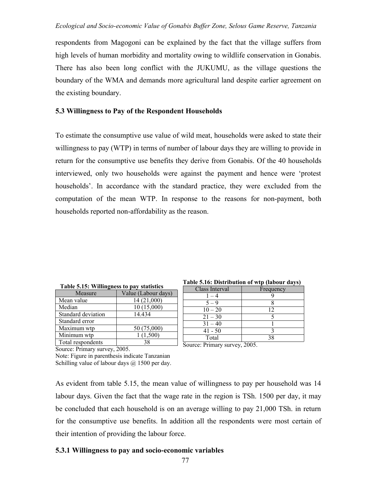respondents from Magogoni can be explained by the fact that the village suffers from high levels of human morbidity and mortality owing to wildlife conservation in Gonabis. There has also been long conflict with the JUKUMU, as the village questions the boundary of the WMA and demands more agricultural land despite earlier agreement on the existing boundary.

## **5.3 Willingness to Pay of the Respondent Households**

To estimate the consumptive use value of wild meat, households were asked to state their willingness to pay (WTP) in terms of number of labour days they are willing to provide in return for the consumptive use benefits they derive from Gonabis. Of the 40 households interviewed, only two households were against the payment and hence were 'protest households'. In accordance with the standard practice, they were excluded from the computation of the mean WTP. In response to the reasons for non-payment, both households reported non-affordability as the reason.

| Table 5.15: Willingness to pay statistics |                     |  |  |
|-------------------------------------------|---------------------|--|--|
| Measure                                   | Value (Labour days) |  |  |
| Mean value                                | 14 (21,000)         |  |  |
| Median                                    | 10 (15,000)         |  |  |
| Standard deviation                        | 14.434              |  |  |
| Standard error                            |                     |  |  |
| Maximum wtp                               | 50 (75,000)         |  |  |
| Minimum wtp                               | 1(1,500)            |  |  |
| Total respondents                         | 38                  |  |  |

| Table 5.16: Distribution of wtp (labour days) |  |  |
|-----------------------------------------------|--|--|
|                                               |  |  |

| Class Interval | Frequency |
|----------------|-----------|
| $-4$           |           |
| $5 - 9$        |           |
| $10 - 20$      | 12        |
| $21 - 30$      |           |
| $31 - 40$      |           |
| $41 - 50$      |           |
| Total          |           |

Source: Primary survey, 2005.

Note: Figure in parenthesis indicate Tanzanian Schilling value of labour days  $\omega$  1500 per day.

 $\Box$  Source: Primary survey, 2005.

As evident from table 5.15, the mean value of willingness to pay per household was 14 labour days. Given the fact that the wage rate in the region is TSh. 1500 per day, it may be concluded that each household is on an average willing to pay 21,000 TSh. in return for the consumptive use benefits. In addition all the respondents were most certain of their intention of providing the labour force.

# **5.3.1 Willingness to pay and socio-economic variables**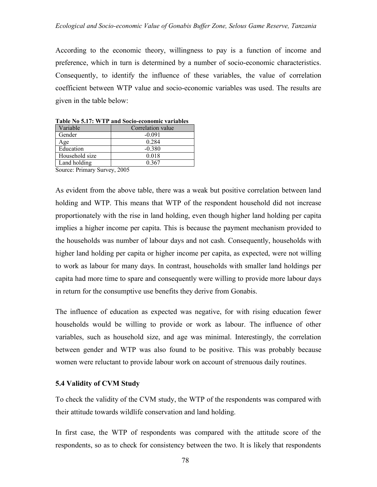According to the economic theory, willingness to pay is a function of income and preference, which in turn is determined by a number of socio-economic characteristics. Consequently, to identify the influence of these variables, the value of correlation coefficient between WTP value and socio-economic variables was used. The results are given in the table below:

| Table No 5.17: WTP and Socio-economic variables |                             |  |
|-------------------------------------------------|-----------------------------|--|
| Variable                                        | Correlation value           |  |
| Gender                                          | $-0.091$                    |  |
| Age                                             | 0.284                       |  |
| Education                                       | $-0.380$                    |  |
| Household size                                  | 0.018                       |  |
| Land holding                                    | 0.367                       |  |
| $\sim$ $\sim$<br>$\mathbf{r}$ .                 | $\sim$ $\sim$ $\sim$ $\sim$ |  |

**Table No 5.17: WTP and Socio-economic variables**

Source: Primary Survey, 2005

As evident from the above table, there was a weak but positive correlation between land holding and WTP. This means that WTP of the respondent household did not increase proportionately with the rise in land holding, even though higher land holding per capita implies a higher income per capita. This is because the payment mechanism provided to the households was number of labour days and not cash. Consequently, households with higher land holding per capita or higher income per capita, as expected, were not willing to work as labour for many days. In contrast, households with smaller land holdings per capita had more time to spare and consequently were willing to provide more labour days in return for the consumptive use benefits they derive from Gonabis.

The influence of education as expected was negative, for with rising education fewer households would be willing to provide or work as labour. The influence of other variables, such as household size, and age was minimal. Interestingly, the correlation between gender and WTP was also found to be positive. This was probably because women were reluctant to provide labour work on account of strenuous daily routines.

### **5.4 Validity of CVM Study**

To check the validity of the CVM study, the WTP of the respondents was compared with their attitude towards wildlife conservation and land holding.

In first case, the WTP of respondents was compared with the attitude score of the respondents, so as to check for consistency between the two. It is likely that respondents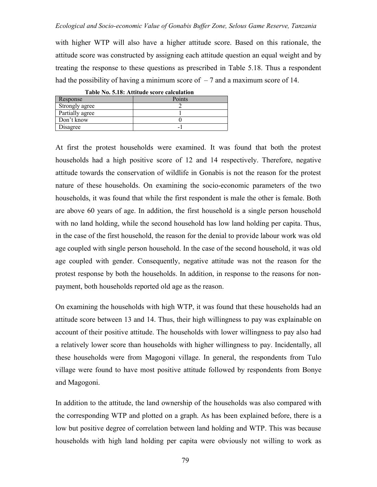with higher WTP will also have a higher attitude score. Based on this rationale, the attitude score was constructed by assigning each attitude question an equal weight and by treating the response to these questions as prescribed in Table 5.18. Thus a respondent had the possibility of having a minimum score of  $-7$  and a maximum score of 14.

| Table No. 5.18: Attitude score calculation |        |  |
|--------------------------------------------|--------|--|
| Response                                   | Points |  |
| Strongly agree                             |        |  |
| Partially agree                            |        |  |
| Don't know                                 |        |  |
| Disagree                                   | -      |  |

At first the protest households were examined. It was found that both the protest households had a high positive score of 12 and 14 respectively. Therefore, negative attitude towards the conservation of wildlife in Gonabis is not the reason for the protest nature of these households. On examining the socio-economic parameters of the two households, it was found that while the first respondent is male the other is female. Both are above 60 years of age. In addition, the first household is a single person household with no land holding, while the second household has low land holding per capita. Thus, in the case of the first household, the reason for the denial to provide labour work was old age coupled with single person household. In the case of the second household, it was old age coupled with gender. Consequently, negative attitude was not the reason for the protest response by both the households. In addition, in response to the reasons for nonpayment, both households reported old age as the reason.

On examining the households with high WTP, it was found that these households had an attitude score between 13 and 14. Thus, their high willingness to pay was explainable on account of their positive attitude. The households with lower willingness to pay also had a relatively lower score than households with higher willingness to pay. Incidentally, all these households were from Magogoni village. In general, the respondents from Tulo village were found to have most positive attitude followed by respondents from Bonye and Magogoni.

In addition to the attitude, the land ownership of the households was also compared with the corresponding WTP and plotted on a graph. As has been explained before, there is a low but positive degree of correlation between land holding and WTP. This was because households with high land holding per capita were obviously not willing to work as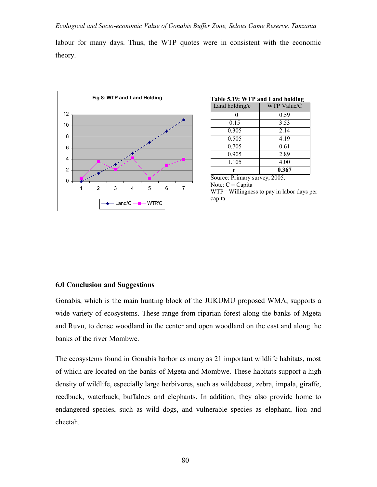labour for many days. Thus, the WTP quotes were in consistent with the economic theory.



| Table 5.19: WTP and Land holding |             |  |
|----------------------------------|-------------|--|
| Land holding/c                   | WTP Value/C |  |
|                                  | 0.59        |  |
| 0.15                             | 3.53        |  |
| 0.305                            | 2.14        |  |
| 0.505                            | 4 1 9       |  |
| 0.705                            | 0.61        |  |
| 0.905                            | 2.89        |  |
| 1.105                            | 4.00        |  |
|                                  | 0.367       |  |

Source: Primary survey, 2005. Note:  $C = Capita$ WTP= Willingness to pay in labor days per capita.

### **6.0 Conclusion and Suggestions**

Gonabis, which is the main hunting block of the JUKUMU proposed WMA, supports a wide variety of ecosystems. These range from riparian forest along the banks of Mgeta and Ruvu, to dense woodland in the center and open woodland on the east and along the banks of the river Mombwe.

The ecosystems found in Gonabis harbor as many as 21 important wildlife habitats, most of which are located on the banks of Mgeta and Mombwe. These habitats support a high density of wildlife, especially large herbivores, such as wildebeest, zebra, impala, giraffe, reedbuck, waterbuck, buffaloes and elephants. In addition, they also provide home to endangered species, such as wild dogs, and vulnerable species as elephant, lion and cheetah.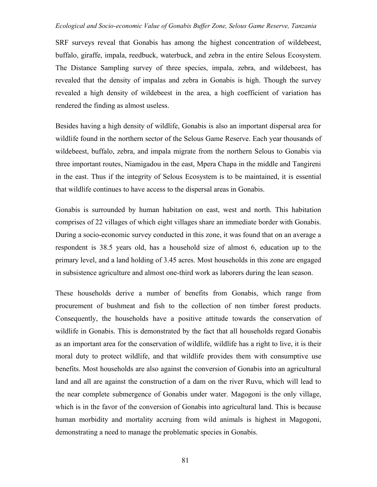SRF surveys reveal that Gonabis has among the highest concentration of wildebeest, buffalo, giraffe, impala, reedbuck, waterbuck, and zebra in the entire Selous Ecosystem. The Distance Sampling survey of three species, impala, zebra, and wildebeest, has revealed that the density of impalas and zebra in Gonabis is high. Though the survey revealed a high density of wildebeest in the area, a high coefficient of variation has rendered the finding as almost useless.

Besides having a high density of wildlife, Gonabis is also an important dispersal area for wildlife found in the northern sector of the Selous Game Reserve. Each year thousands of wildebeest, buffalo, zebra, and impala migrate from the northern Selous to Gonabis via three important routes, Niamigadou in the east, Mpera Chapa in the middle and Tangireni in the east. Thus if the integrity of Selous Ecosystem is to be maintained, it is essential that wildlife continues to have access to the dispersal areas in Gonabis.

Gonabis is surrounded by human habitation on east, west and north. This habitation comprises of 22 villages of which eight villages share an immediate border with Gonabis. During a socio-economic survey conducted in this zone, it was found that on an average a respondent is 38.5 years old, has a household size of almost 6, education up to the primary level, and a land holding of 3.45 acres. Most households in this zone are engaged in subsistence agriculture and almost one-third work as laborers during the lean season.

These households derive a number of benefits from Gonabis, which range from procurement of bushmeat and fish to the collection of non timber forest products. Consequently, the households have a positive attitude towards the conservation of wildlife in Gonabis. This is demonstrated by the fact that all households regard Gonabis as an important area for the conservation of wildlife, wildlife has a right to live, it is their moral duty to protect wildlife, and that wildlife provides them with consumptive use benefits. Most households are also against the conversion of Gonabis into an agricultural land and all are against the construction of a dam on the river Ruvu, which will lead to the near complete submergence of Gonabis under water. Magogoni is the only village, which is in the favor of the conversion of Gonabis into agricultural land. This is because human morbidity and mortality accruing from wild animals is highest in Magogoni, demonstrating a need to manage the problematic species in Gonabis.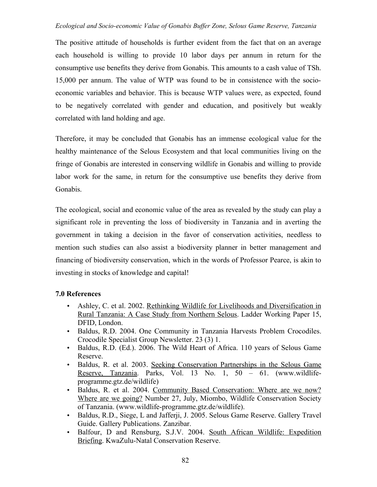The positive attitude of households is further evident from the fact that on an average each household is willing to provide 10 labor days per annum in return for the consumptive use benefits they derive from Gonabis. This amounts to a cash value of TSh. 15,000 per annum. The value of WTP was found to be in consistence with the socioeconomic variables and behavior. This is because WTP values were, as expected, found to be negatively correlated with gender and education, and positively but weakly correlated with land holding and age.

Therefore, it may be concluded that Gonabis has an immense ecological value for the healthy maintenance of the Selous Ecosystem and that local communities living on the fringe of Gonabis are interested in conserving wildlife in Gonabis and willing to provide labor work for the same, in return for the consumptive use benefits they derive from Gonabis.

The ecological, social and economic value of the area as revealed by the study can play a significant role in preventing the loss of biodiversity in Tanzania and in averting the government in taking a decision in the favor of conservation activities, needless to mention such studies can also assist a biodiversity planner in better management and financing of biodiversity conservation, which in the words of Professor Pearce, is akin to investing in stocks of knowledge and capital!

# **7.0 References**

- Ashley, C. et al. 2002. Rethinking Wildlife for Livelihoods and Diversification in Rural Tanzania: A Case Study from Northern Selous. Ladder Working Paper 15, DFID, London.
- Baldus, R.D. 2004. One Community in Tanzania Harvests Problem Crocodiles. Crocodile Specialist Group Newsletter. 23 (3) 1.
- Baldus, R.D. (Ed.). 2006. The Wild Heart of Africa. 110 years of Selous Game Reserve.
- Baldus, R. et al. 2003. Seeking Conservation Partnerships in the Selous Game Reserve, Tanzania. Parks, Vol. 13 No. 1, 50 – 61. (www.wildlifeprogramme.gtz.de/wildlife)
- Baldus, R. et al. 2004. Community Based Conservation: Where are we now? Where are we going? Number 27, July, Miombo, Wildlife Conservation Society of Tanzania. (www.wildlife-programme.gtz.de/wildlife).
- Baldus, R.D., Siege, L and Jafferji, J. 2005. Selous Game Reserve. Gallery Travel Guide. Gallery Publications. Zanzibar.
- Balfour, D and Rensburg, S.J.V. 2004. South African Wildlife: Expedition Briefing. KwaZulu-Natal Conservation Reserve.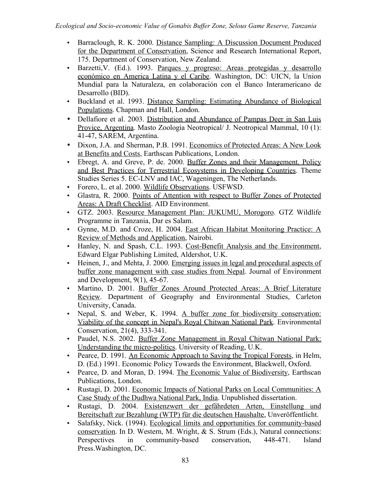- Barraclough, R. K. 2000. Distance Sampling: A Discussion Document Produced for the Department of Conservation, Science and Research International Report, 175. Department of Conservation, New Zealand.
- Barzetti, V. (Ed.). 1993. Parques y progreso: Areas protegidas y desarrollo económico en America Latina y el Caribe. Washington, DC: UICN, la Union Mundial para la Naturaleza, en colaboración con el Banco Interamericano de Desarrollo (BID).
- Buckland et al. 1993. Distance Sampling: Estimating Abundance of Biological Populations. Chapman and Hall, London.
- Dellafiore et al. 2003. Distribution and Abundance of Pampas Deer in San Luis Provice, Argentina. Masto Zoologia Neotropical/ J. Neotropical Mammal, 10 (1): 41-47, SAREM, Argentina.
- Dixon, J.A. and Sherman, P.B. 1991. Economics of Protected Areas: A New Look at Benefits and Costs, Earthscan Publications, London.
- Ebregt, A. and Greve, P. de. 2000. Buffer Zones and their Management. Policy and Best Practices for Terrestrial Ecosystems in Developing Countries. Theme Studies Series 5. EC-LNV and IAC, Wageningen, The Netherlands.
- Forero, L. et al. 2000. Wildlife Observations. USFWSD.
- Glastra, R. 2000. Points of Attention with respect to Buffer Zones of Protected Areas: A Draft Checklist. AID Environment.
- GTZ. 2003. Resource Management Plan: JUKUMU, Morogoro. GTZ Wildlife Programme in Tanzania, Dar es Salam.
- Gynne, M.D. and Croze, H. 2004. East African Habitat Monitoring Practice: A Review of Methods and Application, Nairobi.
- Hanley, N. and Spash, C.L. 1993. Cost-Benefit Analysis and the Environment, Edward Elgar Publishing Limited, Aldershot, U.K.
- Heinen, J., and Mehta, J. 2000. Emerging issues in legal and procedural aspects of buffer zone management with case studies from Nepal. Journal of Environment and Development, 9(1), 45-67.
- Martino, D. 2001. Buffer Zones Around Protected Areas: A Brief Literature Review. Department of Geography and Environmental Studies, Carleton University, Canada.
- Nepal, S. and Weber, K. 1994. A buffer zone for biodiversity conservation: Viability of the concept in Nepal's Royal Chitwan National Park. Environmental Conservation, 21(4), 333-341.
- Paudel, N.S. 2002. Buffer Zone Management in Royal Chitwan National Park: Understanding the micro-politics. University of Reading, U.K.
- Pearce, D. 1991. An Economic Approach to Saving the Tropical Forests, in Helm, D. (Ed.) 1991. Economic Policy Towards the Environment, Blackwell, Oxford.
- Pearce, D. and Moran, D. 1994. The Economic Value of Biodiversity, Earthscan Publications, London.
- Rustagi, D. 2001. Economic Impacts of National Parks on Local Communities: A Case Study of the Dudhwa National Park, India. Unpublished dissertation.
- Rustagi, D. 2004. Existenzwert der gefährdeten Arten, Einstellung und Bereitschaft zur Bezahlung (WTP) für die deutschen Haushalte, Unveröffentlicht.
- Salafsky, Nick. (1994). Ecological limits and opportunities for community-based conservation. In D. Western, M. Wright, & S. Strum (Eds.), Natural connections: Perspectives in community-based conservation, 448-471. Island Press.Washington, DC.